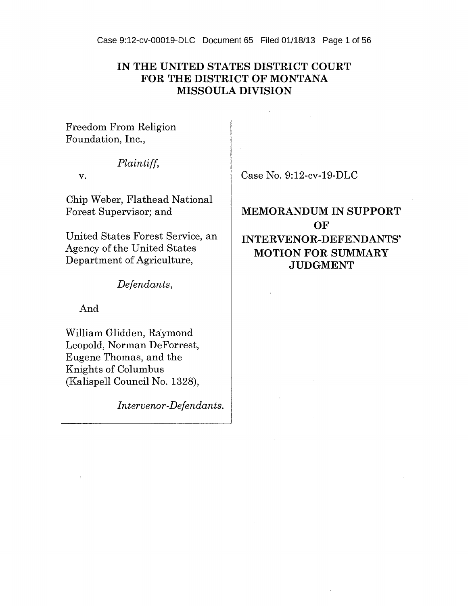Case 9:12-cv-00019-DLC Document 65 Filed 01/18/13 Page 1 of 56

# **IN THE UNITED STATES DISTRICT COURT FOR THE DISTRICT OF MONTANA MISSOULA DIVISION**

Freedom From Religion Foundation, Inc.,

# *Plaintiff,*

v.

Chip Weber, Flathead National Forest Supervisor; and

United States Forest Service, an Agency of the United States Department of Agriculture,

*Defendants,* 

And

William Glidden, Raymond Leopold, Norman DeForrest, Eugene Thomas, and the Knights of Columbus (Kalispell Council No. 1328),

*Intervenor-Defendants.* 

Case No. 9:12-cv-19-DLC

# **MEMORANDUM IN SUPPORT OF INTERVENOR-DEFENDANTS' MOTION FOR SUMMARY JUDGMENT**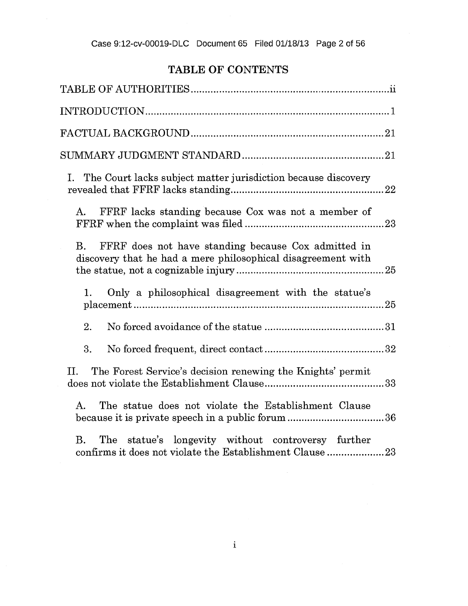# Case 9:12-cv-00019-DLC Document 65 Filed 01/18/13 Page 2 of 56

# TABLE OF CONTENTS

| The Court lacks subject matter jurisdiction because discovery<br>Ι.                                                              |  |
|----------------------------------------------------------------------------------------------------------------------------------|--|
| FFRF lacks standing because Cox was not a member of<br>A.                                                                        |  |
| FFRF does not have standing because Cox admitted in<br>Β.<br>discovery that he had a mere philosophical disagreement with        |  |
| Only a philosophical disagreement with the statue's<br>1.                                                                        |  |
| 2.                                                                                                                               |  |
| 3.                                                                                                                               |  |
| The Forest Service's decision renewing the Knights' permit<br>П.                                                                 |  |
| The statue does not violate the Establishment Clause<br>A.<br>because it is private speech in a public forum 36                  |  |
| B <sub>r</sub><br>The statue's longevity without controversy further<br>confirms it does not violate the Establishment Clause 23 |  |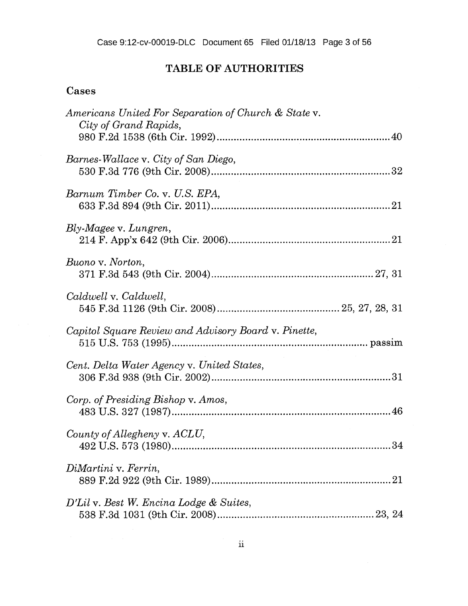# **TABLE OF AUTHORITIES**

# Cases

| Americans United For Separation of Church & State v.<br>City of Grand Rapids, |
|-------------------------------------------------------------------------------|
| Barnes-Wallace v. City of San Diego,                                          |
| Barnum Timber Co. v. U.S. EPA,                                                |
| Bly-Magee v. Lungren,                                                         |
| Buono v. Norton,                                                              |
| Caldwell v. Caldwell,                                                         |
| Capitol Square Review and Advisory Board v. Pinette,                          |
| Cent. Delta Water Agency v. United States,                                    |
| Corp. of Presiding Bishop v. Amos,                                            |
| County of Allegheny v. ACLU,                                                  |
| DiMartini v. Ferrin,<br>21                                                    |
| D'Lil v. Best W. Encina Lodge & Suites,                                       |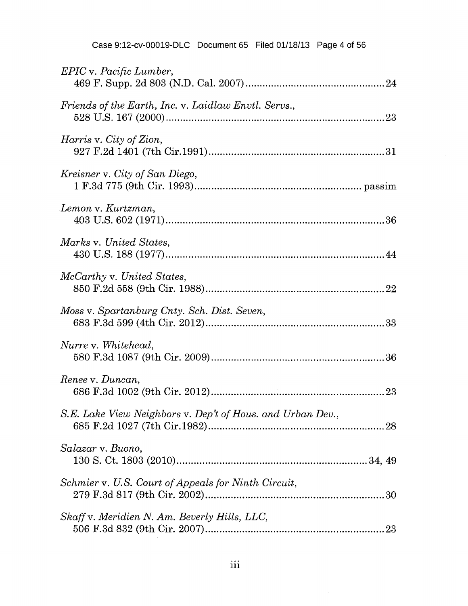| Case 9:12-cv-00019-DLC Document 65 Filed 01/18/13 Page 4 of 56 |  |  |  |
|----------------------------------------------------------------|--|--|--|
|----------------------------------------------------------------|--|--|--|

| <i>EPIC</i> v. <i>Pacific Lumber</i> ,                     |
|------------------------------------------------------------|
| Friends of the Earth, Inc. v. Laidlaw Envtl. Servs.,       |
| <i>Harris</i> v. City of Zion,                             |
| Kreisner v. City of San Diego,                             |
| Lemon v. Kurtzman,                                         |
| Marks v. United States,                                    |
| McCarthy v. United States,                                 |
| Moss v. Spartanburg Cnty. Sch. Dist. Seven,                |
| Nurre v. Whitehead,                                        |
| Renee v. Duncan,                                           |
| S.E. Lake View Neighbors v. Dep't of Hous. and Urban Dev., |
| Salazar v. Buono,                                          |
| Schmier v. U.S. Court of Appeals for Ninth Circuit,        |
| Skaff v. Meridien N. Am. Beverly Hills, LLC,               |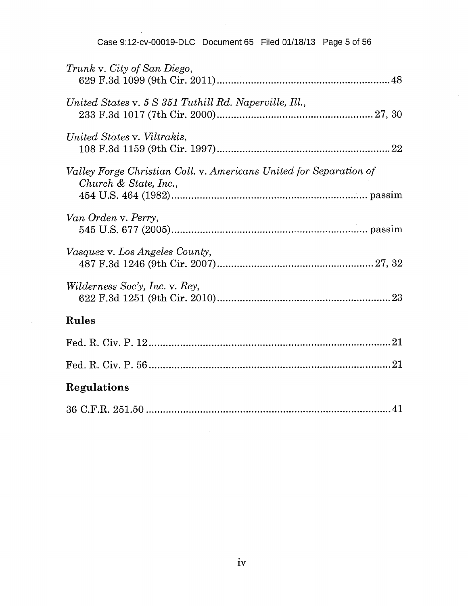Case 9:12-cv-00019-DLC Document 65 Filed 01/18/13 Page 5 of 56

| Trunk v. City of San Diego,                                                                    |
|------------------------------------------------------------------------------------------------|
| United States v. 5 S 351 Tuthill Rd. Naperville, Ill.,                                         |
| United States v. Viltrakis,                                                                    |
| Valley Forge Christian Coll. v. Americans United for Separation of<br>Church $\&$ State, Inc., |
| Van Orden v. Perry,                                                                            |
| Vasquez v. Los Angeles County,                                                                 |
| Wilderness Soc'y, Inc. v. Rey,                                                                 |
| Rules                                                                                          |
|                                                                                                |
|                                                                                                |
| Regulations                                                                                    |
|                                                                                                |

 $\sim 10^7$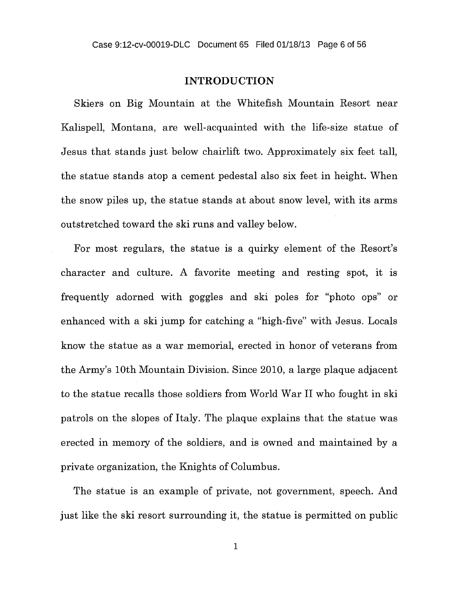#### Case 9:12-cv-00019-DLC Document 65 Filed 01/18/13 Page 6 of 56

### **INTRODUCTION**

Skiers on Big Mountain at the Whitefish Mountain Resort near Kalispell, Montana, are well-acquainted with the life-size statue of Jesus that stands just below chairlift two. Approximately six feet tall, the statue stands atop a cement pedestal also six feet in height. When the snow piles up, the statue stands at about snow level, with its arms outstretched toward the ski runs and valley below.

For most regulars, the statue is a quirky element of the Resort's character and culture. A favorite meeting and resting spot, it is frequently adorned with goggles and ski poles for "photo ops" or enhanced with a ski jump for catching a "high-five" with Jesus. Locals know the statue as a war memorial, erected in honor of veterans from the Army's 10th Mountain Division. Since 2010, a large plaque adjacent to the statue recalls those soldiers from World War II who fought in ski patrols on the slopes of Italy. The plaque explains that the statue was erected in memory of the soldiers, and is owned and maintained by a private organization, the Knights of Columbus.

The statue is an example of private, not government, speech. And just like the ski resort surrounding it, the statue is permitted on public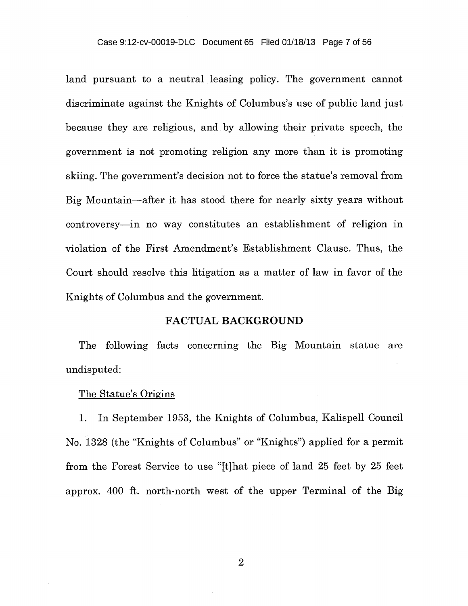#### Case 9:12-cv-00019-DLC Document 65 Filed 01/18/13 Page 7 of 56

land pursuant to a neutral leasing policy. The government cannot discriminate against the Knights of Columbus's use of public land just because they are religious, and by allowing their private speech, the government is not promoting religion any more than it is promoting skiing. The government's decision not to force the statue's removal from Big Mountain—after it has stood there for nearly sixty years without controversy—in no way constitutes an establishment of religion in violation of the First Amendment's Establishment Clause. Thus, the Court should resolve this litigation as a matter of law in favor of the Knights of Columbus and the government.

### FACTUAL BACKGROUND

The following facts concerning the Big Mountain statue are undisputed:

### The Statue's Origins

1. In September 1953, the Knights of Columbus, Kalispell Council No. 1328 (the "Knights of Columbus" or "Knights") applied for a permit from the Forest Service to use "[t]hat piece of land 25 feet by 25 feet approx. 400 ft. north-north west of the upper Terminal of the Big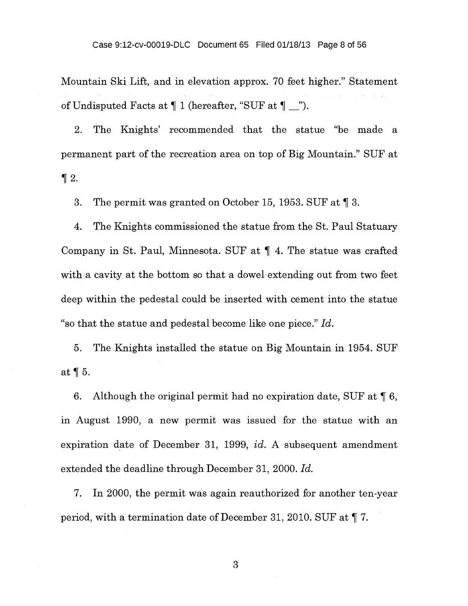Mountain Ski Lift, and in elevation approx. 70 feet higher." Statement of Undisputed Facts at  $\P$  1 (hereafter, "SUF at  $\P$  \_").

2. The Knights' recommended that the statue "be made a permanent part of the recreation area on top of Big Mountain." SUF at  $\P 2$ .

3. The permit was granted on October 15, 1953. SUF at ¶ 3.

4. The Knights commissioned the statue from the St. Paul Statuary Company in St. Paul, Minnesota. SUF at ¶ 4. The statue was crafted with a cavity at the bottom so that a dowel extending out from two feet deep within the pedestal could be inserted with cement into the statue "so that the statue and pedestal become like one piece." *Id.* 

5. The Knights installed the statue on Big Mountain in 1954. SUF at ¶ 5.

6. Although the original permit had no expiration date, SUF at  $\P 6$ , in August 1990, a new permit was issued for the statue with an expiration date of December 31, 1999, *id.* A subsequent amendment extended the deadline through December 31, 2000. *Id.* 

7. In 2000, the permit was again reauthorized for another ten-year period, with a termination date of December 31, 2010. SUF at ¶ 7.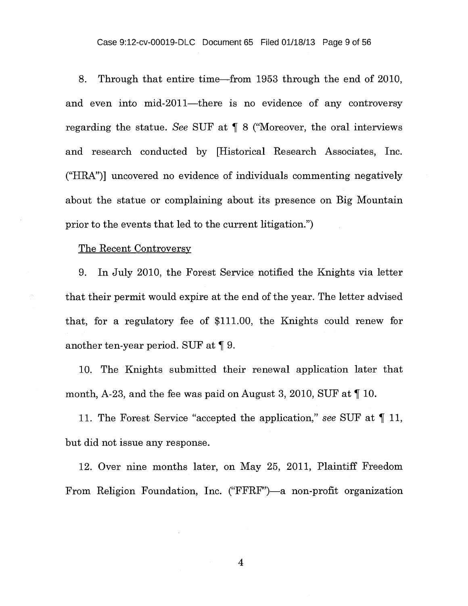Case 9:12-cv-00019-DLC Document 65 Filed 01/18/13 Page 9 of 56

8. Through that entire time—from 1953 through the end of 2010, and even into mid-2011—there is no evidence of any controversy regarding the statue. *See* SUF at ¶ 8 ("Moreover, the oral interviews and research conducted by [Historical Research Associates, Inc. ("HRA")] uncovered no evidence of individuals commenting negatively about the statue or complaining about its presence on Big Mountain prior to the events that led to the current litigation.")

#### The Recent Controversy

÷.

9. In July 2010, the Forest Service notified the Knights via letter that their permit would expire at the end of the year. The letter advised that, for a regulatory fee of \$111.00, the Knights could renew for another ten-year period. SUF at ¶ 9.

10. The Knights submitted their renewal application later that month, A-23, and the fee was paid on August 3, 2010, SUF at ¶ 10.

11. The Forest Service "accepted the application," *see* SUF at ¶ 11, but did not issue any response.

12. Over nine months later, on May 25, 2011, Plaintiff Freedom From Religion Foundation, Inc. ("FFRF")—a non-profit organization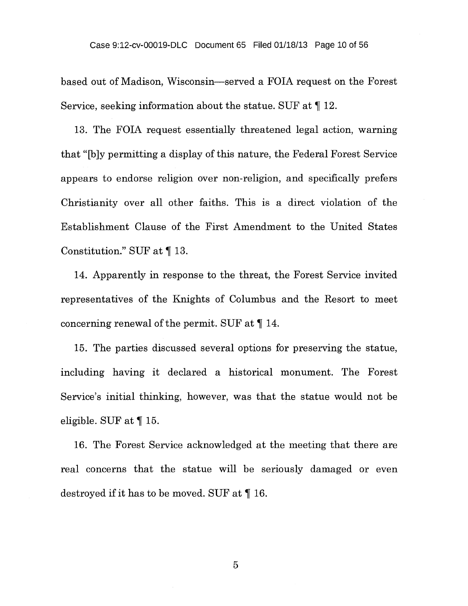based out of Madison, Wisconsin—served a FOIA request on the Forest Service, seeking information about the statue. SUF at ¶ 12.

13. The FOIA request essentially threatened legal action, warning that "[b] y permitting a display of this nature, the Federal Forest Service appears to endorse religion over non-religion, and specifically prefers Christianity over all other faiths. This is a direct violation of the Establishment Clause of the First Amendment to the United States Constitution." SUF at ¶ 13.

14. Apparently in response to the threat, the Forest Service invited representatives of the Knights of Columbus and the Resort to meet concerning renewal of the permit. SUF at ¶ 14.

15. The parties discussed several options for preserving the statue, including having it declared a historical monument. The Forest Service's initial thinking, however, was that the statue would not be eligible. SUF at ¶ 15.

16. The Forest Service acknowledged at the meeting that there are real concerns that the statue will be seriously damaged or even destroyed if it has to be moved. SUF at ¶ 16.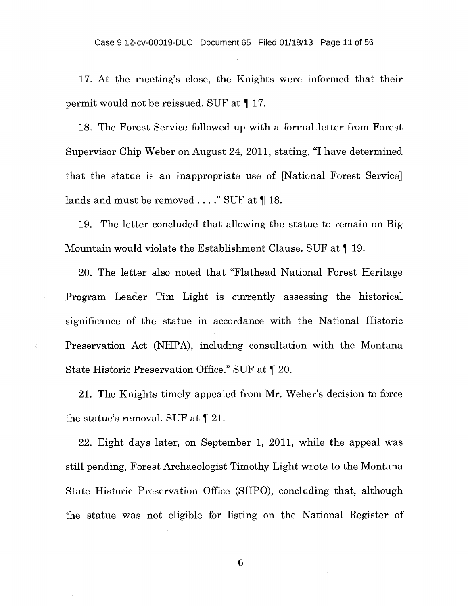Case 9:12-cv-00019-DLC Document 65 Filed 01/18/13 Page 11 of 56

17. At the meeting's close, the Knights were informed that their permit would not be reissued. SUF at ¶ 17.

18. The Forest Service followed up with a formal letter from Forest Supervisor Chip Weber on August 24, 2011, stating, "I have determined that the statue is an inappropriate use of [National Forest Service] lands and must be removed . . . . " SUF at  $\P$  18.

19. The letter concluded that allowing the statue to remain on Big Mountain would violate the Establishment Clause. SUF at ¶ 19.

20. The letter also noted that "Flathead National Forest Heritage Program Leader Tim Light is currently assessing the historical significance of the statue in accordance with the National Historic Preservation Act (NHPA), including consultation with the Montana State Historic Preservation Office." SUF at  $\P$  20.

S)

21. The Knights timely appealed from Mr. Weber's decision to force the statue's removal. SUF at ¶ 21.

22. Eight days later, on September 1, 2011, while the appeal was still pending, Forest Archaeologist Timothy Light wrote to the Montana State Historic Preservation Office (SHPO), concluding that, although the statue was not eligible for listing on the National Register of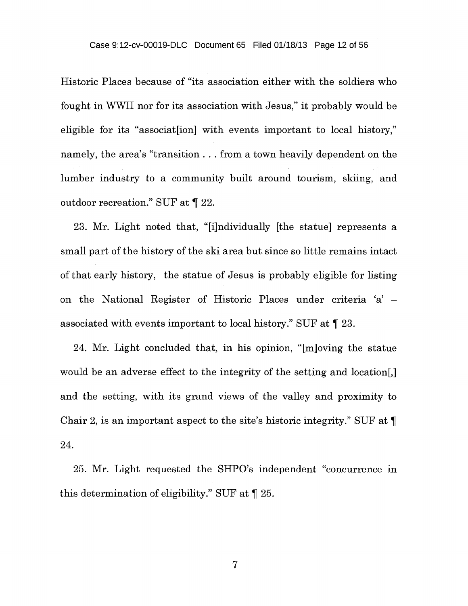Historic Places because of "its association either with the soldiers who fought in WWII nor for its association with Jesus," it probably would be eligible for its "associat[ion] with events important to local history," namely, the area's "transition . . . from a town heavily dependent on the lumber industry to a community built around tourism, skiing, and outdoor recreation." SUF at ¶ 22.

23. Mr. Light noted that, "[i]ndividually [the statue] represents a small part of the history of the ski area but since so little remains intact of that early history, the statue of Jesus is probably eligible for listing on the National Register of Historic Places under criteria 'a' associated with events important to local history." SUF at ¶ 23.

24. Mr. Light concluded that, in his opinion, "[m]oving the statue would be an adverse effect to the integrity of the setting and location[,] and the setting, with its grand views of the valley and proximity to Chair 2, is an important aspect to the site's historic integrity." SUF at ¶ 24.

25. Mr. Light requested the SHPO's independent "concurrence in this determination of eligibility." SUF at ¶ 25.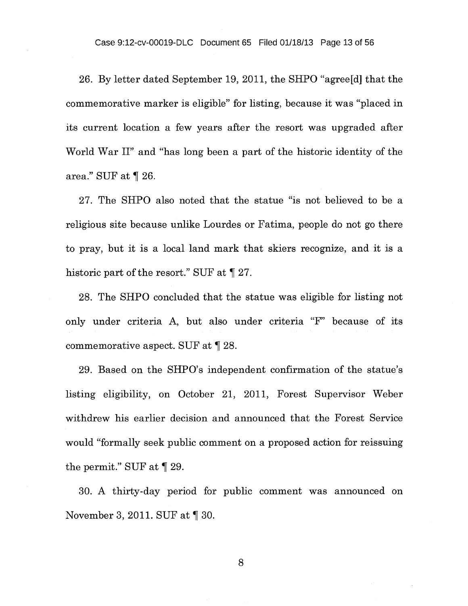Case 9:12-cv-00019-DLC Document 65 Filed 01/18/13 Page 13 of 56

26. By letter dated September 19, 2011, the SHPO "agree[d] that the commemorative marker is eligible" for listing, because it was "placed in its current location a few years after the resort was upgraded after World War II" and "has long been a part of the historic identity of the area." SUF at ¶ 26.

27. The SHPO also noted that the statue "is not believed to be a religious site because unlike Lourdes or Fatima, people do not go there to pray, but it is a local land mark that skiers recognize, and it is a historic part of the resort." SUF at  $\P$  27.

28. The SHPO concluded that the statue was eligible for listing not only under criteria A, but also under criteria "F" because of its commemorative aspect. SUF at ¶ 28.

29. Based on the SHPO's independent confirmation of the statue's listing eligibility, on October 21, 2011, Forest Supervisor Weber withdrew his earlier decision and announced that the Forest Service would "formally seek public comment on a proposed action for reissuing the permit." SUF at ¶ 29.

30. A thirty-day period for public comment was announced on November 3, 2011. SUF at  $\P$  30.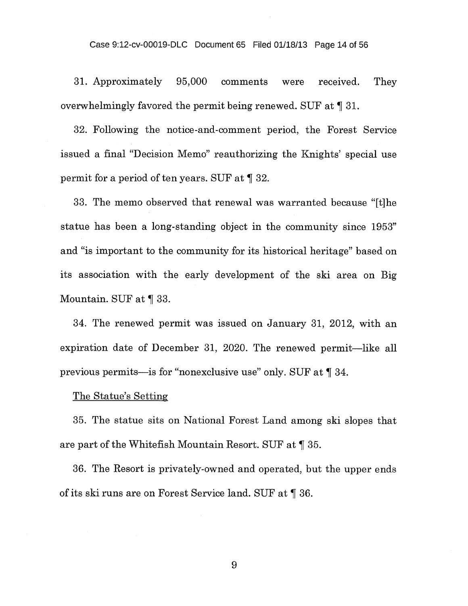#### Case 9:12-cv-00019-DLC Document 65 Filed 01/18/13 Page 14 of 56

31. Approximately 95,000 comments were received. They overwhelmingly favored the permit being renewed. SUF at ¶ 31.

32. Following the notice-and-comment period, the Forest Service issued a final "Decision Memo" reauthorizing the Knights' special use permit for a period of ten years. SUF at ¶ 32.

33. The memo observed that renewal was warranted because "[t]he statue has been a long-standing object in the community since 1953" and "is important to the community for its historical heritage" based on its association with the early development of the ski area on Big Mountain. SUF at ¶ 33.

34. The renewed permit was issued on January 31, 2012, with an expiration date of December 31, 2020. The renewed permit—like all previous permits—is for "nonexclusive use" only. SUF at ¶ 34.

### The Statue's Setting

35. The statue sits on National Forest Land among ski slopes that are part of the Whitefish Mountain Resort. SUF at ¶ 35.

36. The Resort is privately-owned and operated, but the upper ends of its ski runs are on Forest Service land. SUF at ¶ 36.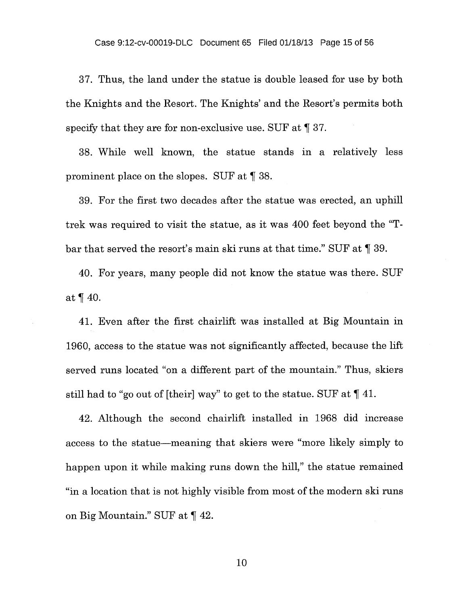37. Thus, the land under the statue is double leased for use by both the Knights and the Resort. The Knights' and the Resort's permits both specify that they are for non-exclusive use. SUF at  $\llbracket 37$ .

38. While well known, the statue stands in a relatively less prominent place on the slopes. SUF at ¶ 38.

39. For the first two decades after the statue was erected, an uphill trek was required to visit the statue, as it was 400 feet beyond the "Tbar that served the resort's main ski runs at that time." SUF at ¶ 39.

40. For years, many people did not know the statue was there. SUF at ¶ 40.

41. Even after the first chairlift was installed at Big Mountain in 1960, access to the statue was not significantly affected, because the lift served runs located "on a different part of the mountain." Thus, skiers still had to "go out of [their] way" to get to the statue. SUF at ¶ 41.

42. Although the second chairlift installed in 1968 did increase access to the statue—meaning that skiers were "more likely simply to happen upon it while making runs down the hill," the statue remained "in a location that is not highly visible from most of the modern ski runs on Big Mountain." SUF at ¶ 42.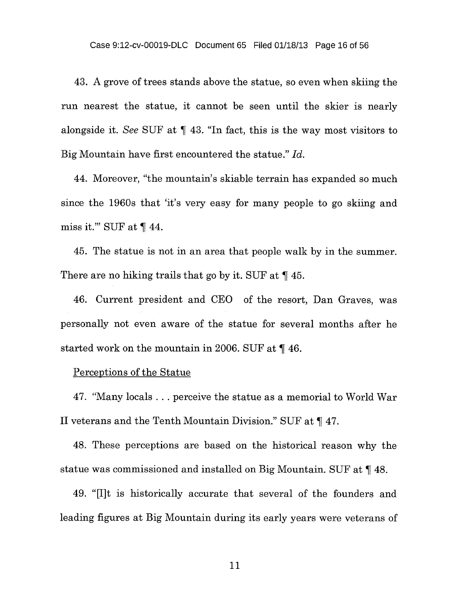43. A grove of trees stands above the statue, so even when skiing the run nearest the statue, it cannot be seen until the skier is nearly alongside it. *See* SUF at ¶ 43. "In fact, this is the way most visitors to Big Mountain have first encountered the statue." *Id.* 

44. Moreover, "the mountain's skiable terrain has expanded so much since the 1960s that 'it's very easy for many people to go skiing and miss it." SUF at  $\P$  44.

45. The statue is not in an area that people walk by in the summer. There are no hiking trails that go by it. SUF at ¶ 45.

46. Current president and CEO of the resort, Dan Graves, was personally not even aware of the statue for several months after he started work on the mountain in 2006. SUF at ¶ 46.

Perceptions of the Statue

47. "Many locals . . . perceive the statue as a memorial to World War II veterans and the Tenth Mountain Division." SUF at ¶ 47.

48. These perceptions are based on the historical reason why the statue was commissioned and installed on Big Mountain. SUF at ¶ 48.

49. "[I]t is historically accurate that several of the founders and leading figures at Big Mountain during its early years were veterans of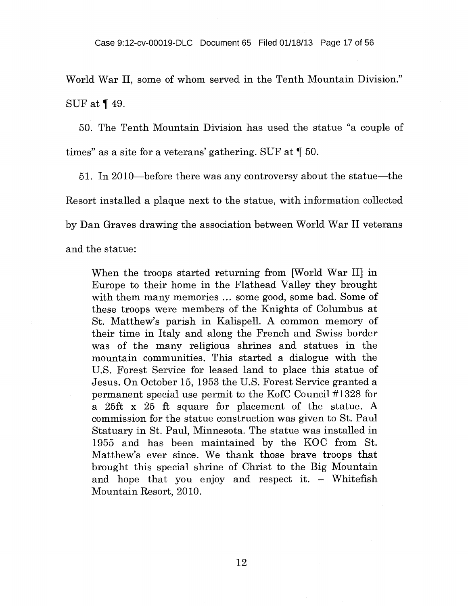World War II, some of whom served in the Tenth Mountain Division." SUF at ¶ 49.

50. The Tenth Mountain Division has used the statue "a couple of times" as a site for a veterans' gathering. SUF at ¶ 50.

51. In 2010—before there was any controversy about the statue—the Resort installed a plaque next to the statue, with information collected by Dan Graves drawing the association between World War II veterans and the statue:

When the troops started returning from [World War II] in Europe to their home in the Flathead Valley they brought with them many memories ... some good, some bad. Some of these troops were members of the Knights of Columbus at St. Matthew's parish in Kalispell. A common memory of their time in Italy and along the French and Swiss border was of the many religious shrines and statues in the mountain communities. This started a dialogue with the U.S. Forest Service for leased land to place this statue of Jesus. On October 15, 1953 the U.S. Forest Service granted a permanent special use permit to the KofC Council #1328 for a 25ft x 25 ft square for placement of the statue. A commission for the statue construction was given to St. Paul Statuary in St. Paul, Minnesota. The statue was installed in 1955 and has been maintained by the KOC from St. Matthew's ever since. We thank those brave troops that brought this special shrine of Christ to the Big Mountain and hope that you enjoy and respect it. — Whitefish Mountain Resort, 2010.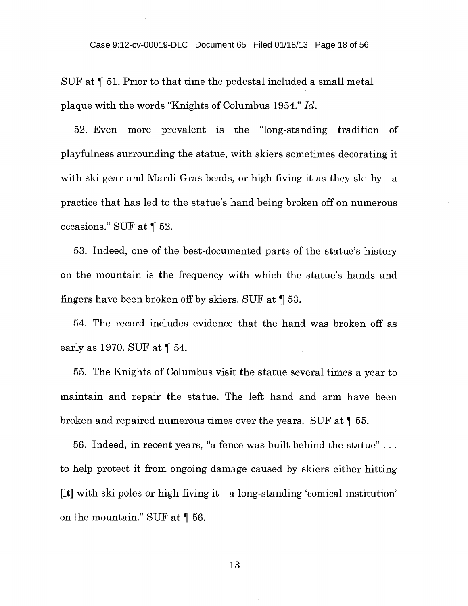SUF at  $\P$  51. Prior to that time the pedestal included a small metal plaque with the words "Knights of Columbus 1954." *Id.* 

52. Even more prevalent is the "long-standing tradition of playfulness surrounding the statue, with skiers sometimes decorating it with ski gear and Mardi Gras beads, or high-fiving it as they ski by—a practice that has led to the statue's hand being broken off on numerous occasions." SUF at ¶ 52.

53. Indeed, one of the best-documented parts of the statue's history on the mountain is the frequency with which the statue's hands and fingers have been broken off by skiers. SUF at ¶ 53.

54. The record includes evidence that the hand was broken off as early as 1970. SUF at ¶ 54.

55. The Knights of Columbus visit the statue several times a year to maintain and repair the statue. The left hand and arm have been broken and repaired numerous times over the years. SUF at ¶ 55.

56. Indeed, in recent years, "a fence was built behind the statue" . to help protect it from ongoing damage caused by skiers either hitting [it] with ski poles or high-fiving it—a long-standing 'comical institution' on the mountain." SUF at ¶ 56.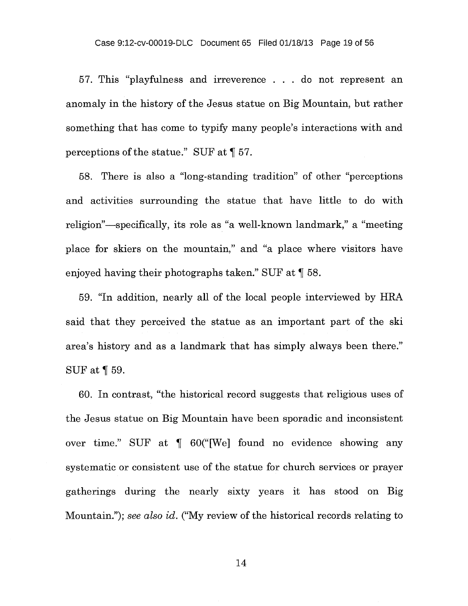57. This "playfulness and irreverence . . . do not represent an anomaly in the history of the Jesus statue on Big Mountain, but rather something that has come to typify many people's interactions with and perceptions of the statue." SUF at ¶ 57.

58. There is also a "long-standing tradition" of other "perceptions and activities surrounding the statue that have little to do with religion"—specifically, its role as "a well-known landmark," a "meeting place for skiers on the mountain," and "a place where visitors have enjoyed having their photographs taken." SUF at ¶ 58.

59. "In addition, nearly all of the local people interviewed by HRA said that they perceived the statue as an important part of the ski area's history and as a landmark that has simply always been there." SUF at ¶ 59.

60. In contrast, "the historical record suggests that religious uses of the Jesus statue on Big Mountain have been sporadic and inconsistent over time." SUF at ¶ 60("[We] found no evidence showing any systematic or consistent use of the statue for church services or prayer gatherings during the nearly sixty years it has stood on Big Mountain."); *see also id.* ("My review of the historical records relating to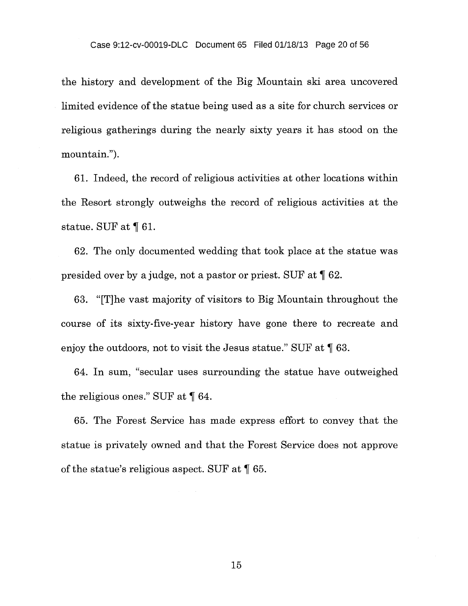the history and development of the Big Mountain ski area uncovered limited evidence of the statue being used as a site for church services or religious gatherings during the nearly sixty years it has stood on the mountain.").

61. Indeed, the record of religious activities at other locations within the Resort strongly outweighs the record of religious activities at the statue. SUF at ¶ 61.

62. The only documented wedding that took place at the statue was presided over by a judge, not a pastor or priest. SUF at ¶ 62.

63. "[T]he vast majority of visitors to Big Mountain throughout the course of its sixty-five-year history have gone there to recreate and enjoy the outdoors, not to visit the Jesus statue." SUF at ¶ 63.

64. In sum, "secular uses surrounding the statue have outweighed the religious ones." SUF at ¶ 64.

65. The Forest Service has made express effort to convey that the statue is privately owned and that the Forest Service does not approve of the statue's religious aspect. SUF at ¶ 65.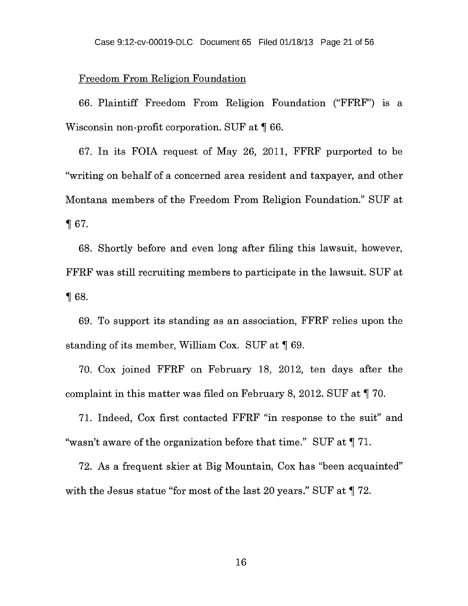### Freedom From Religion Foundation

66. Plaintiff Freedom From Religion Foundation ("FFRF") is a Wisconsin non-profit corporation. SUF at ¶ 66.

67. In its FOIA request of May 26, 2011, FFRF purported to be "writing on behalf of a concerned area resident and taxpayer, and other Montana members of the Freedom From Religion Foundation." SUF at ¶ 67.

68. Shortly before and even long after filing this lawsuit, however, FFRF was still recruiting members to participate in the lawsuit. SUF at 68.

69. To support its standing as an association, FFRF relies upon the standing of its member, William Cox. SUF at ¶ 69.

70. Cox joined FFRF on February 18, 2012, ten days after the complaint in this matter was filed on February 8, 2012. SUF at ¶ 70.

71. Indeed, Cox first contacted FFRF "in response to the suit" and "wasn't aware of the organization before that time." SUF at ¶ 71.

72. As a frequent skier at Big Mountain, Cox has "been acquainted" with the Jesus statue "for most of the last 20 years." SUF at  $\P$  72.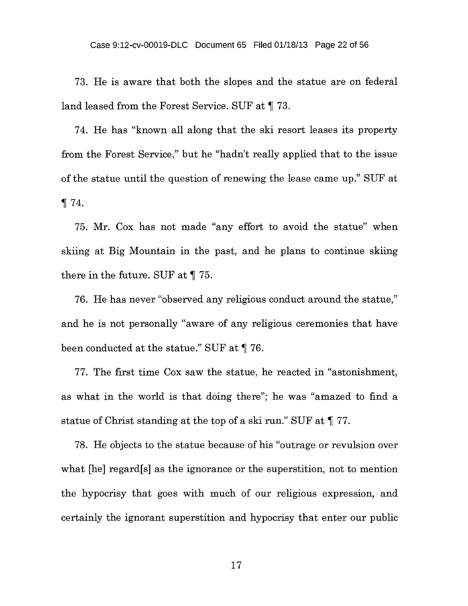73. He is aware that both the slopes and the statue are on federal land leased from the Forest Service. SUF at ¶ 73.

74. He has "known all along that the ski resort leases its property from the Forest Service," but he "hadn't really applied that to the issue of the statue until the question of renewing the lease came up." SUF at ¶ 74.

75. Mr. Cox has not made "any effort to avoid the statue" when skiing at Big Mountain in the past, and he plans to continue skiing there in the future. SUF at ¶ 75.

76. He has never "observed any religious conduct around the statue," and he is not personally "aware of any religious ceremonies that have been conducted at the statue." SUF at ¶ 76.

77. The first time Cox saw the statue, he reacted in "astonishment, as what in the world is that doing there"; he was "amazed to find a statue of Christ standing at the top of a ski run." SUF at ¶ 77.

78. He objects to the statue because of his "outrage or revulsion over what [he] regard[s] as the ignorance or the superstition, not to mention the hypocrisy that goes with much of our religious expression, and certainly the ignorant superstition and hypocrisy that enter our public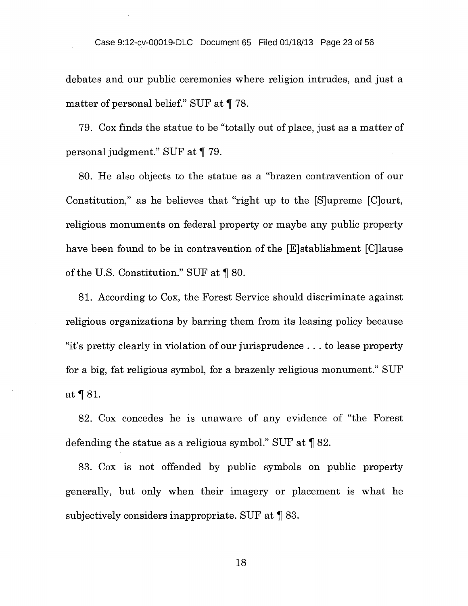debates and our public ceremonies where religion intrudes, and just a matter of personal belief." SUF at ¶ 78.

79. Cox finds the statue to be "totally out of place, just as a matter of personal judgment." SUF at ¶ 79.

80. He also objects to the statue as a "brazen contravention of our Constitution," as he believes that "right up to the [S]upreme [C]ourt, religious monuments on federal property or maybe any public property have been found to be in contravention of the [E]stablishment [C]lause of the U.S. Constitution." SUF at ¶ 80.

81. According to Cox, the Forest Service should discriminate against religious organizations by barring them from its leasing policy because "it's pretty clearly in violation of our jurisprudence . . . to lease property for a big, fat religious symbol, for a brazenly religious monument." SUF at ¶ 81.

82. Cox concedes he is unaware of any evidence of "the Forest defending the statue as a religious symbol." SUF at  $\P$  82.

83. Cox is not offended by public symbols on public property generally, but only when their imagery or placement is what he subjectively considers inappropriate. SUF at ¶ 83.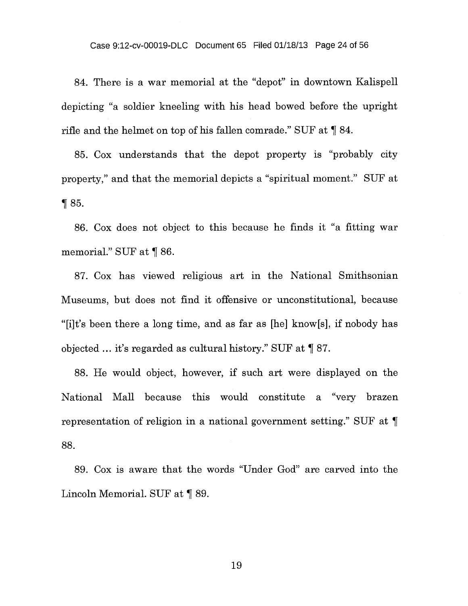84. There is a war memorial at the "depot" in downtown Kalispell depicting "a soldier kneeling with his head bowed before the upright rifle and the helmet on top of his fallen comrade." SUF at  $\P$  84.

85. Cox understands that the depot property is "probably city property," and that the memorial depicts a "spiritual moment." SUF at ¶ 85.

86. Cox does not object to this because he finds it "a fitting war memorial." SUF at ¶ 86.

87. Cox has viewed religious art in the National Smithsonian Museums, but does not find it offensive or unconstitutional, because " $[i]$ t's been there a long time, and as far as  $[he]$  know $[s]$ , if nobody has objected ... it's regarded as cultural history." SUF at ¶ 87.

88. He would object, however, if such art were displayed on the National Mall because this would constitute a "very brazen representation of religion in a national government setting." SUF at  $\P$ 88.

89. Cox is aware that the words "Under God" are carved into the Lincoln Memorial. SUF at ¶ 89.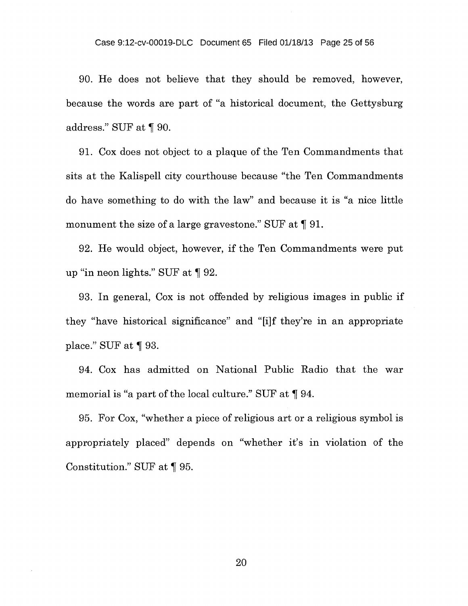90. He does not believe that they should be removed, however, because the words are part of "a historical document, the Gettysburg address." SUF at ¶ 90.

91. Cox does not object to a plaque of the Ten Commandments that sits at the Kalispell city courthouse because "the Ten Commandments do have something to do with the law" and because it is "a nice little monument the size of a large gravestone." SUF at ¶ 91.

92. He would object, however, if the Ten Commandments were put up "in neon lights." SUF at ¶ 92.

93. In general, Cox is not offended by religious images in public if they "have historical significance" and "[i]f they're in an appropriate place." SUF at  $\P$  93.

94. Cox has admitted on National Public Radio that the war memorial is "a part of the local culture." SUF at ¶ 94.

95. For Cox, "whether a piece of religious art or a religious symbol is appropriately placed" depends on "whether it's in violation of the Constitution." SUF at ¶ 95.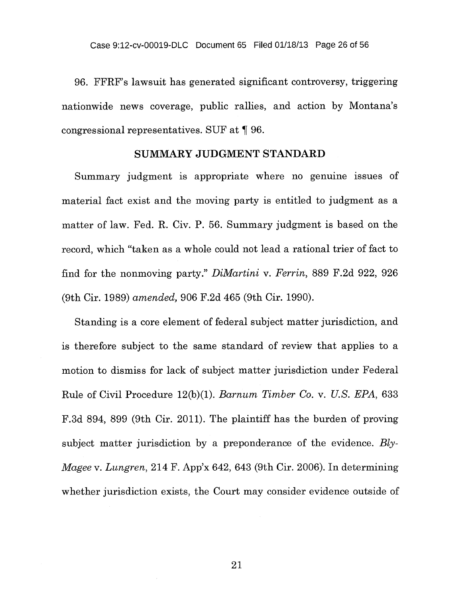96. FFRF's lawsuit has generated significant controversy, triggering nationwide news coverage, public rallies, and action by Montana's congressional representatives. SUF at ¶ 96.

### SUMMARY JUDGMENT STANDARD

Summary judgment is appropriate where no genuine issues of material fact exist and the moving party is entitled to judgment as a matter of law. Fed. R. Civ. P. 56. Summary judgment is based on the record, which "taken as a whole could not lead a rational trier of fact to find for the nonmoving party." *DiMartini v. Ferrin,* 889 F.2d 922, 926 (9th Cir. 1989) *amended,* 906 F.2d 465 (9th Cir. 1990).

Standing is a core element of federal subject matter jurisdiction, and is therefore subject to the same standard of review that applies to a motion to dismiss for lack of subject matter jurisdiction under Federal Rule of Civil Procedure 12(b)(1). *Barnum Timber Co. v. U.S. EPA,* 633 F.3d 894, 899 (9th Cir. 2011). The plaintiff has the burden of proving subject matter jurisdiction by a preponderance of the evidence. *Bly-Magee v. Lungren,* 214 F. App'x 642, 643 (9th Cir. 2006). In determining whether jurisdiction exists, the Court may consider evidence outside of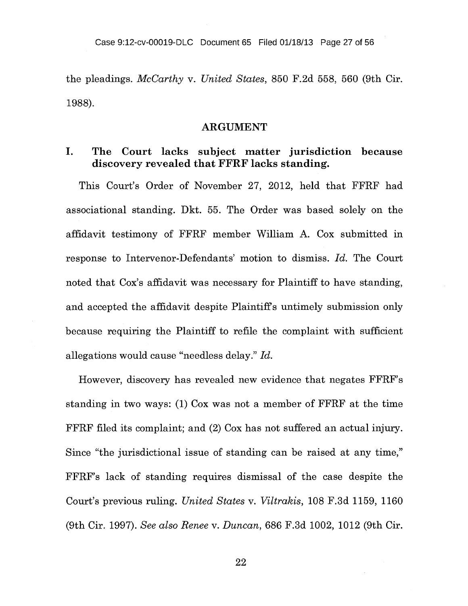the pleadings. *McCarthy v. United States,* 850 F.2d 558, 560 (9th Cir. 1988).

### **ARGUMENT**

## **I. The Court lacks subject matter jurisdiction because discovery revealed that FFRF lacks standing.**

This Court's Order of November 27, 2012, held that FFRF had associational standing. Dkt. 55. The Order was based solely on the affidavit testimony of FFRF member William A. Cox submitted in response to Intervenor-Defendants' motion to dismiss. *Id.* The Court noted that Cox's affidavit was necessary for Plaintiff to have standing, and accepted the affidavit despite Plaintiffs untimely submission only because requiring the Plaintiff to refile the complaint with sufficient allegations would cause "needless delay." *Id.* 

However, discovery has revealed new evidence that negates FFRF's standing in two ways: (1) Cox was not a member of FFRF at the time FFRF filed its complaint; and (2) Cox has not suffered an actual injury. Since "the jurisdictional issue of standing can be raised at any time," FFRF's lack of standing requires dismissal of the case despite the Court's previous ruling. *United States v. Viltrakis,* 108 F.3d 1159, 1160 (9th Cir. 1997). *See also Renee v. Duncan,* 686 F.3d 1002, 1012 (9th Cir.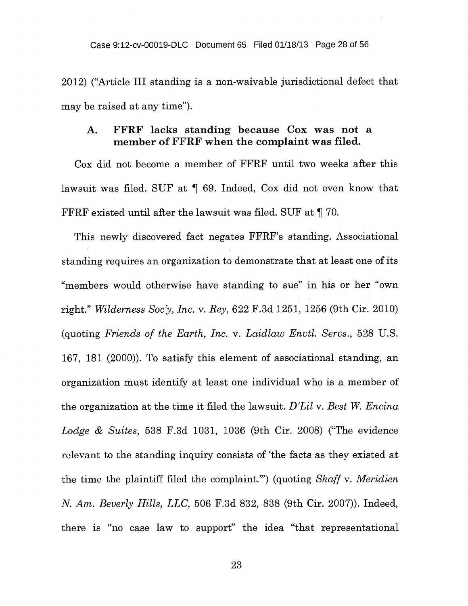2012) ("Article III standing is a non-waivable jurisdictional defect that may be raised at any time").

### **A. FFRF lacks standing because Cox was not a member of FFRF when the complaint was filed.**

Cox did not become a member of FFRF until two weeks after this lawsuit was filed. SUF at  $\parallel$  69. Indeed, Cox did not even know that FFRF existed until after the lawsuit was filed. SUF at ¶ 70.

This newly discovered fact negates FFRF's standing. Associational standing requires an organization to demonstrate that at least one of its "members would otherwise have standing to sue" in his or her "own right." *Wilderness Soc'y, Inc. v. Rey,* 622 F.3d 1251, 1256 (9th Cir. 2010) (quoting *Friends of the Earth, Inc. v. Laidlaw Envtl. Servs.,* 528 U.S. 167, 181 (2000)). To satisfy this element of associational standing, an organization must identify at least one individual who is a member of the organization at the time it filed the lawsuit. *D'Lil v. Best W. Encina Lodge & Suites,* 538 F.3d 1031, 1036 (9th Cir. 2008) ("The evidence relevant to the standing inquiry consists of 'the facts as they existed at the time the plaintiff filed the complaint."') (quoting *Skaff v. Meridien N. Am. Beverly Hills, LLC,* 506 F.3d 832, 838 (9th Cir. 2007)). Indeed, there is "no case law to support" the idea "that representational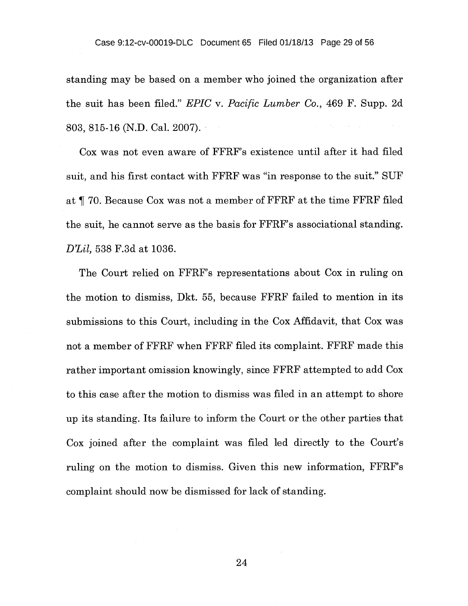standing may be based on a member who joined the organization after the suit has been filed." *EPIC v. Pacific Lumber Co.,* 469 F. Supp. 2d 803, 815-16 (N.D. Cal. 2007).

Cox was not even aware of FFRF's existence until after it had filed suit, and his first contact with FFRF was "in response to the suit." SUF at ¶ 70. Because Cox was not a member of FFRF at the time FFRF filed the suit, he cannot serve as the basis for FFRF's associational standing. *D'Lil,* 538 F.3d at 1036.

The Court relied on FFRF's representations about Cox in ruling on the motion to dismiss, Dkt. 55, because FFRF failed to mention in its submissions to this Court, including in the Cox Affidavit, that Cox was not a member of FFRF when FFRF filed its complaint. FFRF made this rather important omission knowingly, since FFRF attempted to add Cox to this case after the motion to dismiss was filed in an attempt to shore up its standing. Its failure to inform the Court or the other parties that Cox joined after the complaint was filed led directly to the Court's ruling on the motion to dismiss. Given this new information, FFRF's complaint should now be dismissed for lack of standing.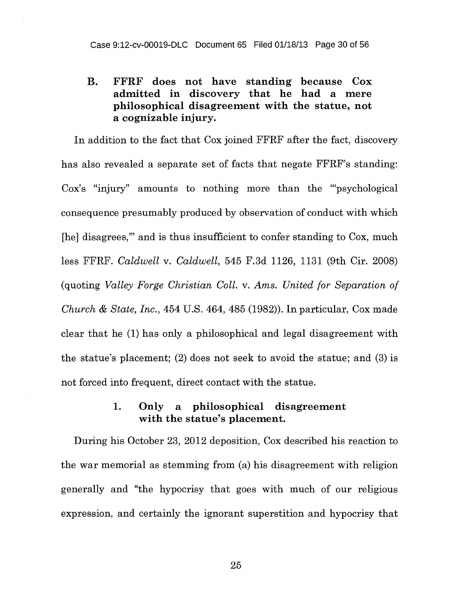# **B. FFRF does not have standing because Cox admitted in discovery that he had a mere philosophical disagreement with the statue, not a cognizable injury.**

In addition to the fact that Cox joined FFRF after the fact, discovery has also revealed a separate set of facts that negate FFRF's standing: Cox's "injury" amounts to nothing more than the "'psychological consequence presumably produced by observation of conduct with which [he] disagrees," and is thus insufficient to confer standing to Cox, much less FFRF. *Caldwell v. Caldwell,* 545 F.3d 1126, 1131 (9th Cir. 2008) (quoting *Valley Forge Christian Coll. v. Ams. United for Separation of Church & State, Inc.,* 454 U.S. 464, 485 (1982)). In particular, Cox made clear that he **(1)** has only a philosophical and legal disagreement with the statue's placement; (2) does not seek to avoid the statue; and (3) is not forced into frequent, direct contact with the statue.

## **1. Only a philosophical disagreement with the statue's placement.**

During his October 23, 2012 deposition, Cox described his reaction to the war memorial as stemming from (a) his disagreement with religion generally and "the hypocrisy that goes with much of our religious expression, and certainly the ignorant superstition and hypocrisy that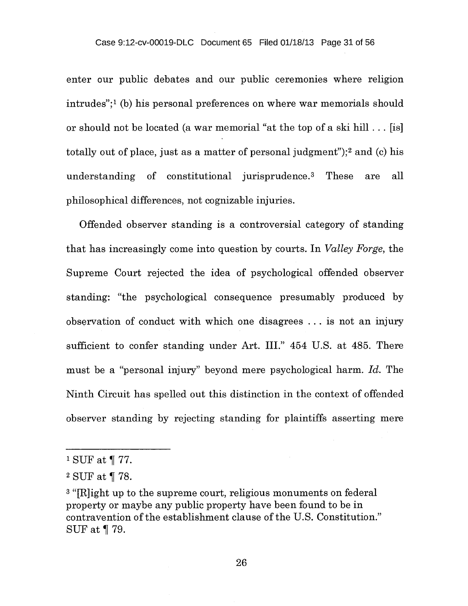#### Case 9:12-cv-00019-DLC Document 65 Filed 01/18/13 Page 31 of 56

enter our public debates and our public ceremonies where religion intrudes"; $\frac{1}{b}$  (b) his personal preferences on where war memorials should or should not be located (a war memorial "at the top of a ski hill . . . [is] totally out of place, just as a matter of personal judgment");<sup>2</sup> and (c) his understanding of constitutional jurisprudence.<sup>3</sup> These are all philosophical differences, not cognizable injuries.

Offended observer standing is a controversial category of standing that has increasingly come into question by courts. In *Valley Forge,* the Supreme Court rejected the idea of psychological offended observer standing: "the psychological consequence presumably produced by observation of conduct with which one disagrees . . . is not an injury sufficient to confer standing under Art. III." 454 U.S. at 485. There must be a "personal injury" beyond mere psychological harm. *Id.* The Ninth Circuit has spelled out this distinction in the context of offended observer standing by rejecting standing for plaintiffs asserting mere

<sup>&</sup>lt;sup>1</sup> SUF at  $\P$  77.

<sup>&</sup>lt;sup>2</sup> SUF at  $\P$  78.

<sup>&</sup>lt;sup>3</sup> "[R]ight up to the supreme court, religious monuments on federal property or maybe any public property have been found to be in contravention of the establishment clause of the U.S. Constitution." SUF at ¶ 79.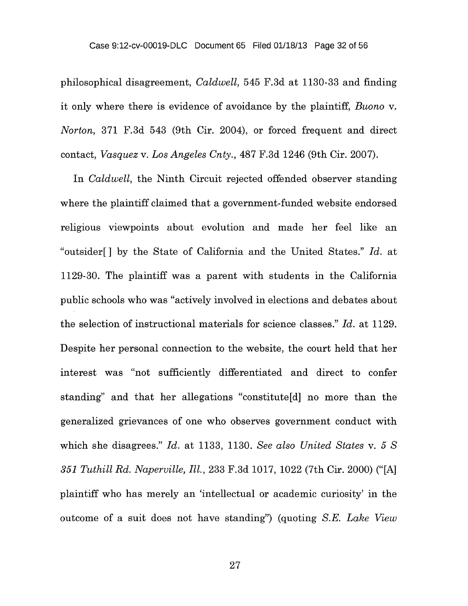philosophical disagreement, *Caldwell,* 545 F.3d at 1130-33 and finding it only where there is evidence of avoidance by the plaintiff, *Buono v. Norton,* 371 F.3d 543 (9th Cir. 2004), or forced frequent and direct contact, *Vasquez v. Los Angeles Cnty.,* 487 F.3d 1246 (9th Cir. 2007).

In *Caldwell,* the Ninth Circuit rejected offended observer standing where the plaintiff claimed that a government-funded website endorsed religious viewpoints about evolution and made her feel like an "outsider[ ] by the State of California and the United States." *Id.* at 1129-30. The plaintiff was a parent with students in the California public schools who was "actively involved in elections and debates about the selection of instructional materials for science classes." *Id.* at 1129. Despite her personal connection to the website, the court held that her interest was "not sufficiently differentiated and direct to confer standing" and that her allegations "constitute[d] no more than the generalized grievances of one who observes government conduct with which she disagrees." *Id.* at 1133, 1130. *See also United States v. 5 S 351 Tuthill Rd. Naperville, Ill. ,* 233 F.3d 1017, 1022 (7th Cir. 2000) ("[A] plaintiff who has merely an 'intellectual or academic curiosity' in the outcome of a suit does not have standing") (quoting *S.E. Lake View*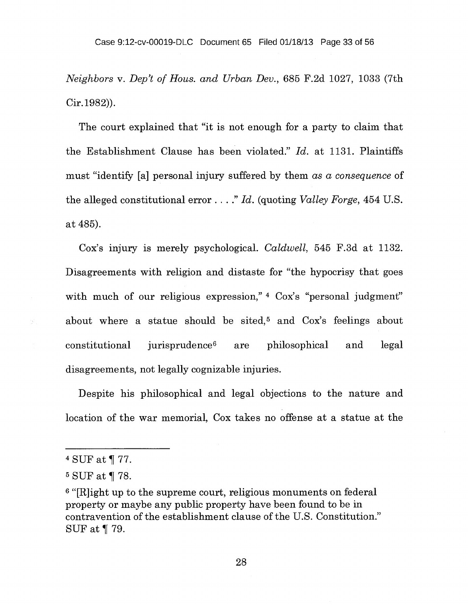*Neighbors v. Dep't of Hous. and Urban Dev.,* 685 F.2d 1027, 1033 (7th Cir.1982)).

The court explained that "it is not enough for a party to claim that the Establishment Clause has been violated." *Id.* at 1131. Plaintiffs must "identify [a] personal injury suffered by them *as a consequence* of the alleged constitutional error . . . ." *Id.* (quoting *Valley Forge,* 454 U.S. at 485).

Cox's injury is merely psychological. *Caldwell,* 545 F.3d at 1132. Disagreements with religion and distaste for "the hypocrisy that goes with much of our religious expression," 4 Cox's "personal judgment" about where a statue should be sited,<sup>5</sup> and Cox's feelings about constitutional jurisprudence<sup>6</sup> are philosophical and legal disagreements, not legally cognizable injuries.

Despite his philosophical and legal objections to the nature and location of the war memorial, Cox takes no offense at a statue at the

V)

<sup>4</sup> SUF at  $\P$  77.

<sup>&</sup>lt;sup>5</sup> SUF at ¶ 78.

<sup>&</sup>lt;sup>6</sup> "[R]ight up to the supreme court, religious monuments on federal property or maybe any public property have been found to be in contravention of the establishment clause of the U.S. Constitution." SUF at  $\P$  79.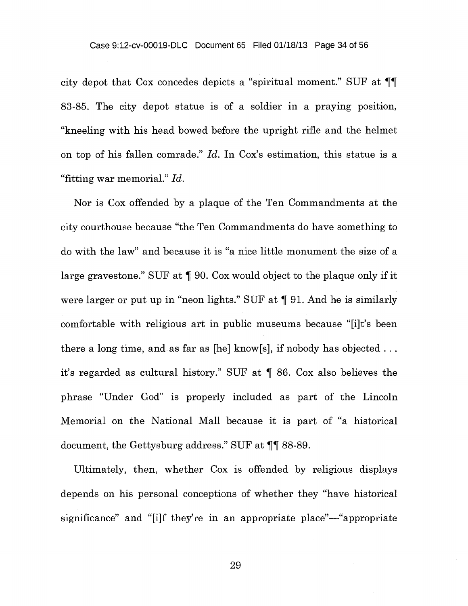city depot that Cox concedes depicts a "spiritual moment." SUF at  $\P\P$ 83-85. The city depot statue is of a soldier in a praying position, "kneeling with his head bowed before the upright rifle and the helmet on top of his fallen comrade." *Id.* In Cox's estimation, this statue is a "fitting war memorial." *Id.* 

Nor is Cox offended by a plaque of the Ten Commandments at the city courthouse because "the Ten Commandments do have something to do with the law" and because it is "a nice little monument the size of a large gravestone." SUF at ¶ 90. Cox would object to the plaque only if it were larger or put up in "neon lights." SUF at  $\P$  91. And he is similarly comfortable with religious art in public museums because "[i]t's been there a long time, and as far as [he] know[s], if nobody has objected  $\dots$ it's regarded as cultural history." SUF at ¶ 86. Cox also believes the phrase "Under God" is properly included as part of the Lincoln Memorial on the National Mall because it is part of "a historical document, the Gettysburg address." SUF at  $\P\P$  88-89.

Ultimately, then, whether Cox is offended by religious displays depends on his personal conceptions of whether they "have historical significance" and "[i]f they're in an appropriate place"—"appropriate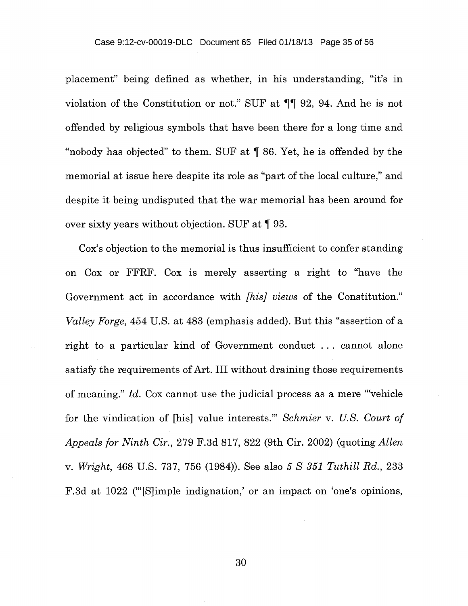placement" being defined as whether, in his understanding, "it's in violation of the Constitution or not." SUF at  $\P\P$  92, 94. And he is not offended by religious symbols that have been there for a long time and "nobody has objected" to them. SUF at ¶ 86. Yet, he is offended by the memorial at issue here despite its role as "part of the local culture," and despite it being undisputed that the war memorial has been around for over sixty years without objection. SUF at ¶ 93.

Cox's objection to the memorial is thus insufficient to confer standing on Cox or FFRF. Cox is merely asserting a right to "have the Government act in accordance with *[his] views* of the Constitution." *Valley Forge,* 454 U.S. at 483 (emphasis added). But this "assertion of a right to a particular kind of Government conduct . . . cannot alone satisfy the requirements of Art. III without draining those requirements of meaning." *Id.* Cox cannot use the judicial process as a mere "'vehicle for the vindication of [his] value interests." *Schmier v. U.S. Court of Appeals for Ninth Cir.,* 279 F.3d 817, 822 (9th Cir. 2002) (quoting *Allen v. Wright,* 468 U.S. 737, 756 (1984)). See also *5 S 351 Tuthill Rd.,* 233 F.3d at 1022 ("Slimple indignation,' or an impact on 'one's opinions,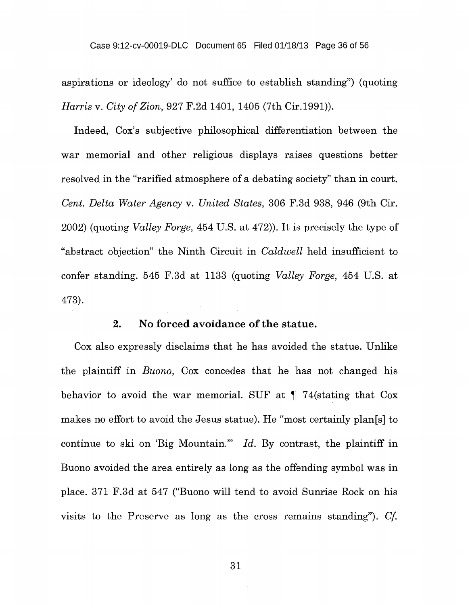#### Case 9:12-cv-00019-DLC Document 65 Filed 01/18/13 Page 36 of 56

aspirations or ideology' do not suffice to establish standing") (quoting *Harris v. City of Zion,* 927 F.2d 1401, 1405 (7th Cir.1991)).

Indeed, Cox's subjective philosophical differentiation between the war memorial and other religious displays raises questions better resolved in the "rarified atmosphere of a debating society" than in court. *Cent. Delta Water Agency v. United States,* 306 F.3d 938, 946 (9th Cir. 2002) (quoting *Valley Forge,* 454 U.S. at 472)). It is precisely the type of "abstract objection" the Ninth Circuit in *Caldwell* held insufficient to confer standing. 545 F.3d at 1133 (quoting *Valley Forge,* 454 U.S. at 473).

## **2. No forced avoidance of the statue.**

Cox also expressly disclaims that he has avoided the statue. Unlike the plaintiff in *Buono,* Cox concedes that he has not changed his behavior to avoid the war memorial. SUF at ¶ 74(stating that Cox makes no effort to avoid the Jesus statue). He "most certainly plan[s] to continue to ski on 'Big Mountain."' *Id.* By contrast, the plaintiff in Buono avoided the area entirely as long as the offending symbol was in place. 371 F.3d at 547 ("Buono will tend to avoid Sunrise Rock on his visits to the Preserve as long as the cross remains standing"). *Cf.*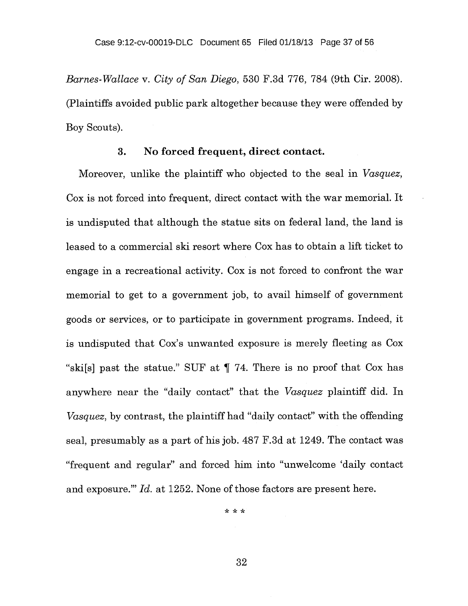*Barnes-Wallace v. City of San Diego,* 530 F.3d 776, 784 (9th Cir. 2008). (Plaintiffs avoided public park altogether because they were offended by Boy Scouts).

### **3. No forced frequent, direct contact.**

Moreover, unlike the plaintiff who objected to the seal in *Vasquez,*  Cox is not forced into frequent, direct contact with the war memorial. It is undisputed that although the statue sits on federal land, the land is leased to a commercial ski resort where Cox has to obtain a lift ticket to engage in a recreational activity. Cox is not forced to confront the war memorial to get to a government job, to avail himself of government goods or services, or to participate in government programs. Indeed, it is undisputed that Cox's unwanted exposure is merely fleeting as Cox "ski[s] past the statue." SUF at ¶ 74. There is no proof that Cox has anywhere near the "daily contact" that the *Vasquez* plaintiff did. In *Vasquez*, by contrast, the plaintiff had "daily contact" with the offending seal, presumably as a part of his job. 487 F.3d at 1249. The contact was "frequent and regular" and forced him into "unwelcome 'daily contact and exposure."' *Id.* at 1252. None of those factors are present here.

\* \* \*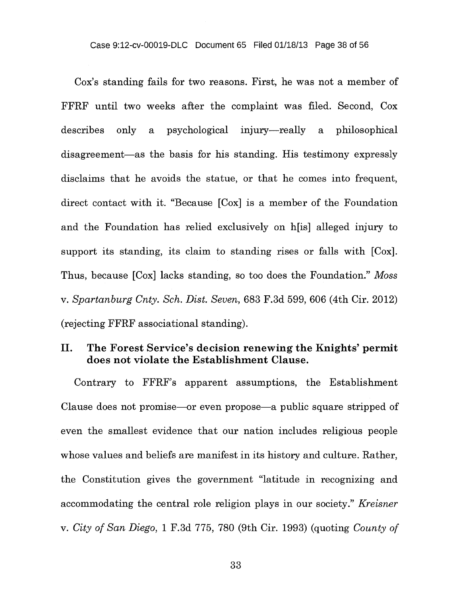Cox's standing fails for two reasons. First, he was not a member of FFRF until two weeks after the complaint was filed. Second, Cox describes only a psychological injury—really a philosophical disagreement—as the basis for his standing. His testimony expressly disclaims that he avoids the statue, or that he comes into frequent, direct contact with it. "Because [Cox] is a member of the Foundation and the Foundation has relied exclusively on h[is] alleged injury to support its standing, its claim to standing rises or falls with [Cox]. Thus, because [Cox] lacks standing, so too does the Foundation." *Moss v. Spartanburg Cnty. Sch. Dist. Seven,* 683 F.3d 599, 606 (4th Cir. 2012) (rejecting FFRF associational standing).

## **II. The Forest Service's decision renewing the Knights' permit does not violate the Establishment Clause.**

Contrary to FFRF's apparent assumptions, the Establishment Clause does not promise—or even propose—a public square stripped of even the smallest evidence that our nation includes religious people whose values and beliefs are manifest in its history and culture. Rather, the Constitution gives the government "latitude in recognizing and accommodating the central role religion plays in our society." *Kreisner v. City of San Diego,* 1 F.3d 775, 780 (9th Cir. 1993) (quoting *County of*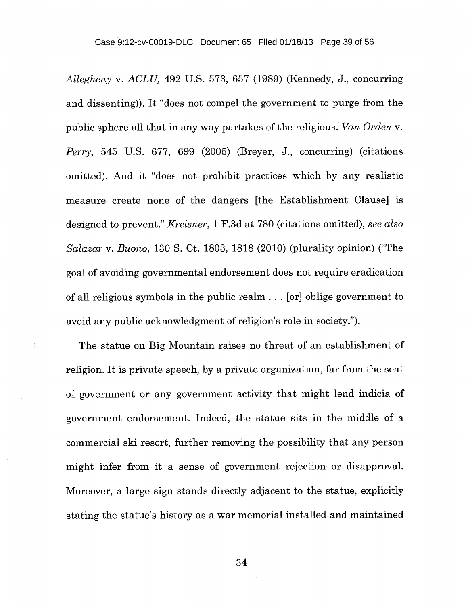*Allegheny v. ACLU,* 492 U.S. 573, 657 (1989) (Kennedy, J., concurring and dissenting)). It "does not compel the government to purge from the public sphere all that in any way partakes of the religious. Van *Orden v. Perry,* 545 U.S. 677, 699 (2005) (Breyer, J., concurring) (citations omitted). And it "does not prohibit practices which by any realistic measure create none of the dangers [the Establishment Clause] is designed to prevent." *Kreisner,* 1 F.3d at 780 (citations omitted); *see also Salazar v. Buono,* 130 S. Ct. 1803, 1818 (2010) (plurality opinion) ("The goal of avoiding governmental endorsement does not require eradication of all religious symbols in the public realm . . . [or] oblige government to avoid any public acknowledgment of religion's role in society.").

The statue on Big Mountain raises no threat of an establishment of religion. It is private speech, by a private organization, far from the seat of government or any government activity that might lend indicia of government endorsement. Indeed, the statue sits in the middle of a commercial ski resort, further removing the possibility that any person might infer from it a sense of government rejection or disapproval. Moreover, a large sign stands directly adjacent to the statue, explicitly stating the statue's history as a war memorial installed and maintained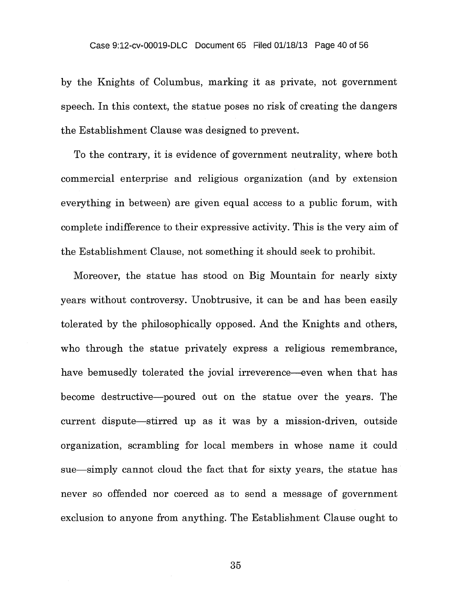by the Knights of Columbus, marking it as private, not government speech. In this context, the statue poses no risk of creating the dangers the Establishment Clause was designed to prevent.

To the contrary, it is evidence of government neutrality, where both commercial enterprise and religious organization (and by extension everything in between) are given equal access to a public forum, with complete indifference to their expressive activity. This is the very aim of the Establishment Clause, not something it should seek to prohibit.

Moreover, the statue has stood on Big Mountain for nearly sixty years without controversy. Unobtrusive, it can be and has been easily tolerated by the philosophically opposed. And the Knights and others, who through the statue privately express a religious remembrance, have bemusedly tolerated the jovial irreverence—even when that has become destructive—poured out on the statue over the years. The current dispute—stirred up as it was by a mission-driven, outside organization, scrambling for local members in whose name it could sue—simply cannot cloud the fact that for sixty years, the statue has never so offended nor coerced as to send a message of government exclusion to anyone from anything. The Establishment Clause ought to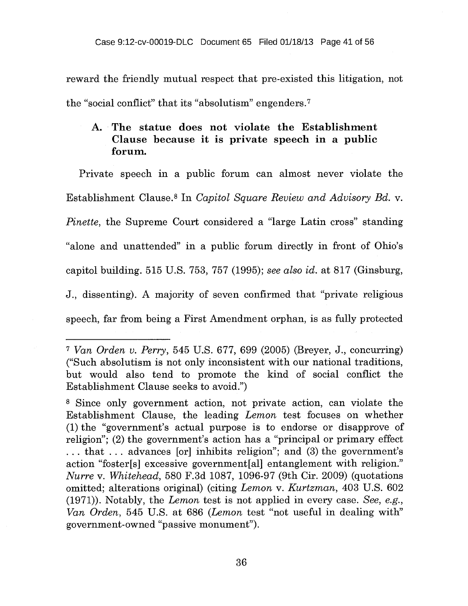reward the friendly mutual respect that pre-existed this litigation, not the "social conflict" that its "absolutism" engenders.?

## **A. The statue does not violate the Establishment Clause because it is private speech in a public forum.**

Private speech in a public forum can almost never violate the Establishment Clause.<sup>8</sup> In *Capitol Square Review and Advisory Bd. v. Pinette*, the Supreme Court considered a "large Latin cross" standing "alone and unattended" in a public forum directly in front of Ohio's capitol building. 515 U.S. 753, 757 (1995); *see also id.* at 817 (Ginsburg, J., dissenting). A majority of seven confirmed that "private religious speech, far from being a First Amendment orphan, is as fully protected

<sup>7</sup>*Van Orden v. Perry,* 545 U.S. 677, 699 (2005) (Breyer, J., concurring) ("Such absolutism is not only inconsistent with our national traditions, but would also tend to promote the kind of social conflict the Establishment Clause seeks to avoid.")

<sup>8</sup>Since only government action, not private action, can violate the Establishment Clause, the leading *Lemon* test focuses on whether (1) the "government's actual purpose is to endorse or disapprove of religion"; (2) the government's action has a "principal or primary effect . . . that . . . advances [or] inhibits religion"; and (3) the government's action "foster[s] excessive government[al] entanglement with religion." *Nurre v. Whitehead,* 580 F.3d 1087, 1096-97 (9th Cir. 2009) (quotations omitted; alterations original) (citing *Lemon v. Kurtzman,* 403 U.S. 602 (1971)). Notably, the *Lemon* test is not applied in every case. *See, e.g., Van Orden,* 545 U.S. at 686 *(Lemon* test "not useful in dealing with" government-owned "passive monument").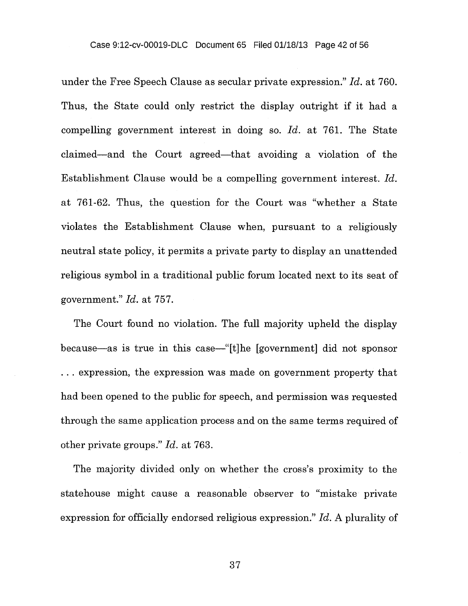under the Free Speech Clause as secular private expression." *Id.* at 760. Thus, the State could only restrict the display outright if it had a compelling government interest in doing so. *Id.* at 761. The State claimed—and the Court agreed—that avoiding a violation of the Establishment Clause would be a compelling government interest. *Id.*  at 761-62. Thus, the question for the Court was "whether a State violates the Establishment Clause when, pursuant to a religiously neutral state policy, it permits a private party to display an unattended religious symbol in a traditional public forum located next to its seat of government." *Id.* at 757.

The Court found no violation. The full majority upheld the display because—as is true in this case—"[t]he [government] did not sponsor . . . expression, the expression was made on government property that had been opened to the public for speech, and permission was requested through the same application process and on the same terms required of other private groups." *Id.* at 763.

The majority divided only on whether the cross's proximity to the statehouse might cause a reasonable observer to "mistake private expression for officially endorsed religious expression." *Id.* A plurality of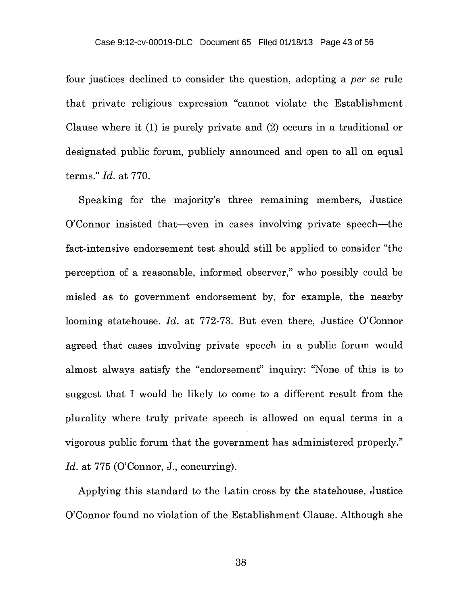four justices declined to consider the question, adopting a *per se* rule that private religious expression "cannot violate the Establishment Clause where it (1) is purely private and (2) occurs in a traditional or designated public forum, publicly announced and open to all on equal terms." *Id.* at 770.

Speaking for the majority's three remaining members, Justice O'Connor insisted that—even in cases involving private speech—the fact-intensive endorsement test should still be applied to consider "the perception of a reasonable, informed observer," who possibly could be misled as to government endorsement by, for example, the nearby looming statehouse. *Id.* at 772-73. But even there, Justice O'Connor agreed that cases involving private speech in a public forum would almost always satisfy the "endorsement" inquiry: "None of this is to suggest that I would be likely to come to a different result from the plurality where truly private speech is allowed on equal terms in a vigorous public forum that the government has administered properly." *Id.* at 775 (O'Connor, J., concurring).

Applying this standard to the Latin cross by the statehouse, Justice O'Connor found no violation of the Establishment Clause. Although she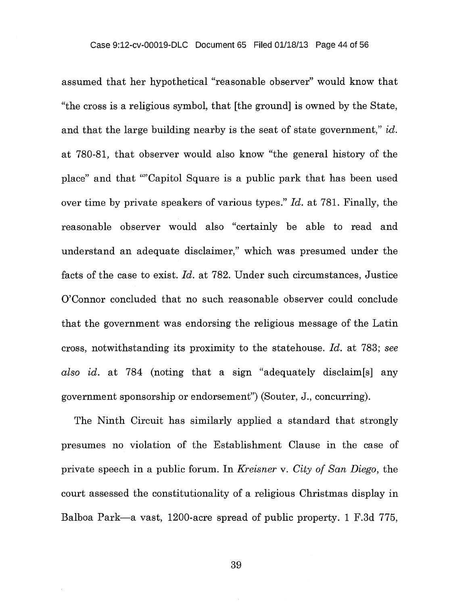assumed that her hypothetical "reasonable observer" would know that "the cross is a religious symbol, that [the ground] is owned by the State, and that the large building nearby is the seat of state government," *id.* at 780-81, that observer would also know "the general history of the place" and that ""Capitol Square is a public park that has been used over time by private speakers of various types." *Id.* at 781. Finally, the reasonable observer would also "certainly be able to read and understand an adequate disclaimer," which was presumed under the facts of the case to exist. *Id.* at 782. Under such circumstances, Justice O'Connor concluded that no such reasonable observer could conclude that the government was endorsing the religious message of the Latin cross, notwithstanding its proximity to the statehouse. *Id.* at 783; *see also id.* at 784 (noting that a sign "adequately disclaim[s] any government sponsorship or endorsement") (Souter, J., concurring).

The Ninth Circuit has similarly applied a standard that strongly presumes no violation of the Establishment Clause in the case of private speech in a public forum. In *Kreisner v. City of San Diego,* the court assessed the constitutionality of a religious Christmas display in Balboa Park—a vast, 1200-acre spread of public property. 1 F.3d 775,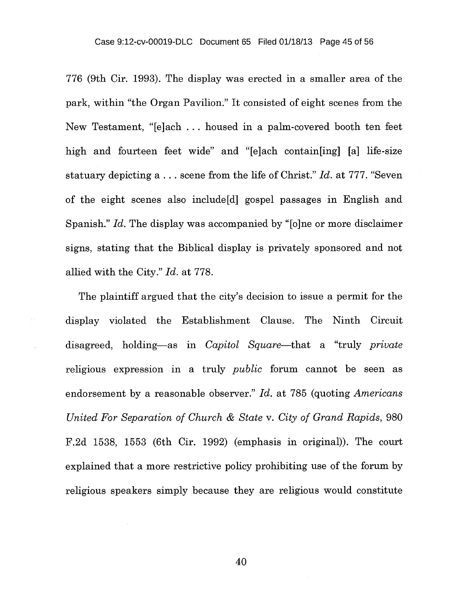776 (9th Cir. 1993). The display was erected in a smaller area of the park, within "the Organ Pavilion." It consisted of eight scenes from the New Testament, "[e]ach . . . housed in a palm-covered booth ten feet high and fourteen feet wide" and "[e]ach contain[ing] [a] life-size statuary depicting a . . . scene from the life of Christ." *Id.* at 777. "Seven of the eight scenes also include[d] gospel passages in English and Spanish." *Id.* The display was accompanied by "[o]ne or more disclaimer signs, stating that the Biblical display is privately sponsored and not allied with the City." *Id.* at 778.

The plaintiff argued that the city's decision to issue a permit for the display violated the Establishment Clause. The Ninth Circuit disagreed, holding—as in *Capitol Square—that* a "truly *private*  religious expression in a truly *public* forum cannot be seen as endorsement by a reasonable observer." *Id.* at 785 (quoting *Americans United For Separation of Church & State v. City of Grand Rapids,* 980 F.2d 1538, 1553 (6th Cir. 1992) (emphasis in original)). The court explained that a more restrictive policy prohibiting use of the forum by religious speakers simply because they are religious would constitute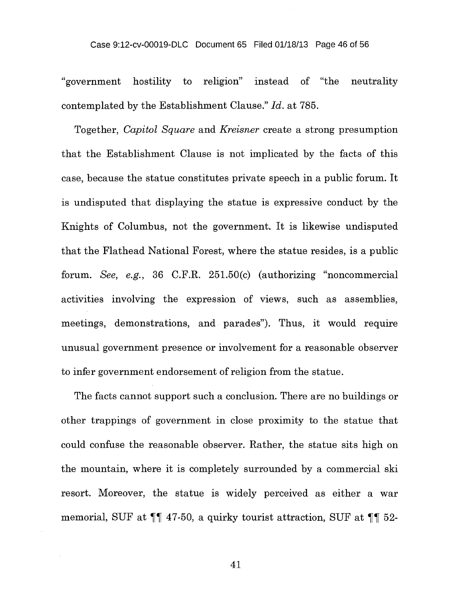#### Case 9:12-cv-00019-DLC Document 65 Filed 01/18/13 Page 46 of 56

"government hostility to religion" instead of "the neutrality contemplated by the Establishment Clause." *Id.* at 785.

Together, *Capitol Square* and *Kreisner* create a strong presumption that the Establishment Clause is not implicated by the facts of this case, because the statue constitutes private speech in a public forum. It is undisputed that displaying the statue is expressive conduct by the Knights of Columbus, not the government. It is likewise undisputed that the Flathead National Forest, where the statue resides, is a public forum. *See, e.g.,* 36 C.F.R. 251.50(c) (authorizing "noncommercial activities involving the expression of views, such as assemblies, meetings, demonstrations, and parades"). Thus, it would require unusual government presence or involvement for a reasonable observer to infer government endorsement of religion from the statue.

The facts cannot support such a conclusion. There are no buildings or other trappings of government in close proximity to the statue that could confuse the reasonable observer. Rather, the statue sits high on the mountain, where it is completely surrounded by a commercial ski resort. Moreover, the statue is widely perceived as either a war memorial, SUF at  $\P\P$  47-50, a quirky tourist attraction, SUF at  $\P\P$  52-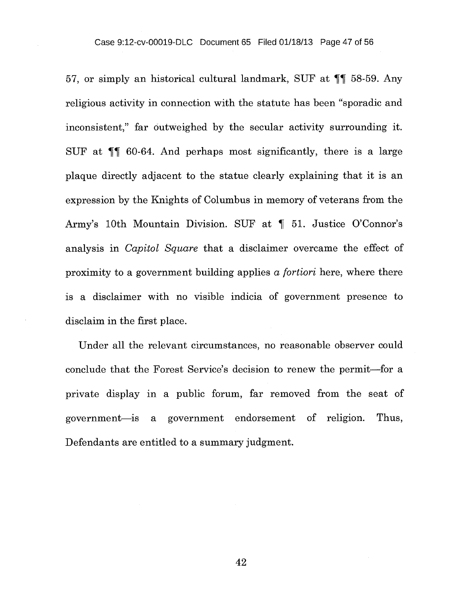57, or simply an historical cultural landmark, SUF at TT 58-59. Any religious activity in connection with the statute has been "sporadic and inconsistent," far outweighed by the secular activity surrounding it. SUF at ¶¶ 60-64. And perhaps most significantly, there is a large plaque directly adjacent to the statue clearly explaining that it is an expression by the Knights of Columbus in memory of veterans from the Army's 10th Mountain Division. SUF at ¶ 51. Justice O'Connor's analysis in *Capitol Square* that a disclaimer overcame the effect of proximity to a government building applies a *fortiori* here, where there is a disclaimer with no visible indicia of government presence to disclaim in the first place.

Under all the relevant circumstances, no reasonable observer could conclude that the Forest Service's decision to renew the permit—for a private display in a public forum, far removed from the seat of government—is a government endorsement of religion. Thus, Defendants are entitled to a summary judgment.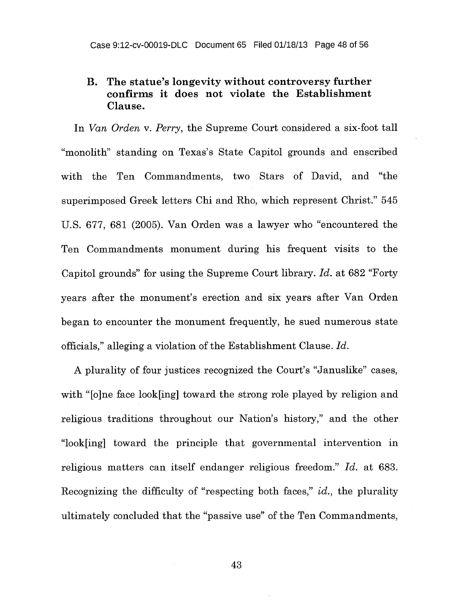## **B. The statue's longevity without controversy further confirms it does not violate the Establishment Clause.**

In *Van Orden v. Perry,* the Supreme Court considered a six-foot tall "monolith" standing on Texas's State Capitol grounds and enscribed with the Ten Commandments, two Stars of David, and "the superimposed Greek letters Chi and Rho, which represent Christ." 545 U.S. 677, 681 (2005). Van Orden was a lawyer who "encountered the Ten Commandments monument during his frequent visits to the Capitol grounds" for using the Supreme Court library. *Id.* at 682 "Forty years after the monument's erection and six years after Van Orden began to encounter the monument frequently, he sued numerous state officials," alleging a violation of the Establishment Clause. *Id.* 

A plurality of four justices recognized the Court's "Januslike" cases, with "[o]ne face look[ing] toward the strong role played by religion and religious traditions throughout our Nation's history," and the other "look[ing] toward the principle that governmental intervention in religious matters can itself endanger religious freedom." *Id.* at 683. Recognizing the difficulty of "respecting both faces," *id.,* the plurality ultimately concluded that the "passive use" of the Ten Commandments,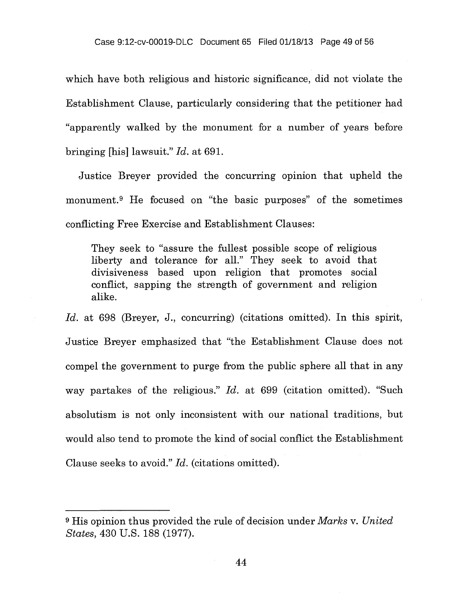which have both religious and historic significance, did not violate the Establishment Clause, particularly considering that the petitioner had "apparently walked by the monument for a number of years before bringing [his] lawsuit." *Id.* at 691.

Justice Breyer provided the concurring opinion that upheld the monument.<sup>9</sup> He focused on "the basic purposes" of the sometimes conflicting Free Exercise and Establishment Clauses:

They seek to "assure the fullest possible scope of religious liberty and tolerance for all." They seek to avoid that divisiveness based upon religion that promotes social conflict, sapping the strength of government and religion alike.

Id. at 698 (Breyer, J., concurring) (citations omitted). In this spirit, Justice Breyer emphasized that "the Establishment Clause does not compel the government to purge from the public sphere all that in any way partakes of the religious." *Id.* at 699 (citation omitted). "Such absolutism is not only inconsistent with our national traditions, but would also tend to promote the kind of social conflict the Establishment Clause seeks to avoid." *Id.* (citations omitted).

<sup>9</sup>His opinion thus provided the rule of decision under *Marks v. United States,* 430 U.S. 188 (1977).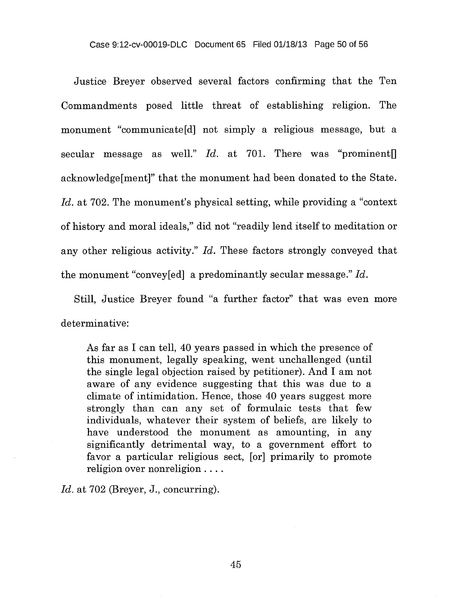Justice Breyer observed several factors confirming that the Ten Commandments posed little threat of establishing religion. The monument "communicate[d] not simply a religious message, but a secular message as well." *Id.* at 701. There was "prominent acknowledge[ment]" that the monument had been donated to the State. Id. at 702. The monument's physical setting, while providing a "context" of history and moral ideals," did not "readily lend itself to meditation or any other religious activity." *Id.* These factors strongly conveyed that the monument "convey[ed] a predominantly secular message." *Id.* 

Still, Justice Breyer found "a further factor" that was even more determinative:

As far as I can tell, 40 years passed in which the presence of this monument, legally speaking, went unchallenged (until the single legal objection raised by petitioner). And I am not aware of any evidence suggesting that this was due to a climate of intimidation. Hence, those 40 years suggest more strongly than can any set of formulaic tests that few individuals, whatever their system of beliefs, are likely to have understood the monument as amounting, in any significantly detrimental way, to a government effort to favor a particular religious sect, [or] primarily to promote religion over nonreligion . . . .

*Id.* at 702 (Breyer, J., concurring).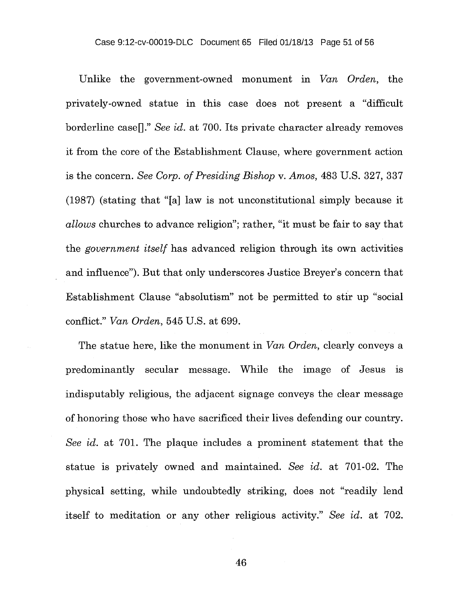Unlike the government-owned monument in Van *Orden,* the privately-owned statue in this case does not present a "difficult borderline case<sup>[]</sup>." *See id.* at 700. Its private character already removes it from the core of the Establishment Clause, where government action is the concern. *See Corp. of Presiding Bishop v. Amos,* 483 U.S. 327, 337 (1987) (stating that "[a] law is not unconstitutional simply because it *allows* churches to advance religion"; rather, "it must be fair to say that the *government itself* has advanced religion through its own activities and influence"). But that only underscores Justice Breyer's concern that Establishment Clause "absolutism" not be permitted to stir up "social conflict." *Van Orden,* 545 U.S. at 699.

The statue here, like the monument in *Van Orden,* clearly conveys a predominantly secular message. While the image of Jesus is indisputably religious, the adjacent signage conveys the clear message of honoring those who have sacrificed their lives defending our country. *See id.* at 701. The plaque includes a prominent statement that the statue is privately owned and maintained. *See id.* at 701-02. The physical setting, while undoubtedly striking, does not "readily lend itself to meditation or any other religious activity." *See id.* at 702.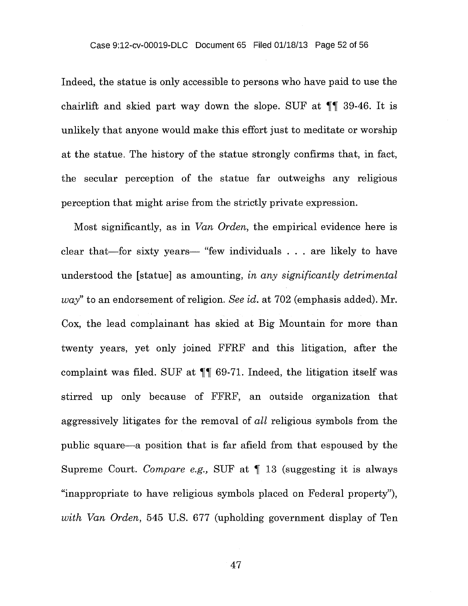Indeed, the statue is only accessible to persons who have paid to use the chairlift and skied part way down the slope. SUF at TT 39-46. It is unlikely that anyone would make this effort just to meditate or worship at the statue. The history of the statue strongly confirms that, in fact, the secular perception of the statue far outweighs any religious perception that might arise from the strictly private expression.

Most significantly, as in Van *Orden,* the empirical evidence here is clear that—for sixty years— "few individuals . . . are likely to have understood the [statue] as amounting, *in any significantly detrimental way"* to an endorsement of religion. *See id.* at 702 (emphasis added). Mr. Cox, the lead complainant has skied at Big Mountain for more than twenty years, yet only joined FFRF and this litigation, after the complaint was filed. SUF at  $\P$  69-71. Indeed, the litigation itself was stirred up only because of FFRF, an outside organization that aggressively litigates for the removal of *all* religious symbols from the public square—a position that is far afield from that espoused by the Supreme Court. *Compare e.g.,* SUF at ¶ 13 (suggesting it is always "inappropriate to have religious symbols placed on Federal property"), *with Van Orden,* 545 U.S. 677 (upholding government display of Ten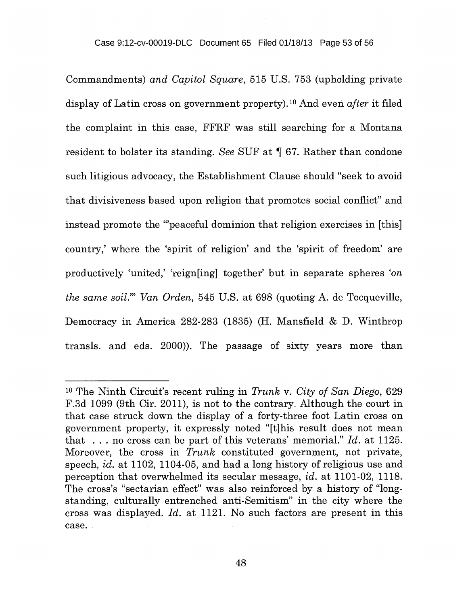#### Case 9:12-cv-00019-DLC Document 65 Filed 01/18/13 Page 53 of 56

Commandments) *and Capitol Square,* 515 U.S. 753 (upholding private display of Latin cross on government property).<sup>10</sup> And even *after* it filed the complaint in this case, FFRF was still searching for a Montana resident to bolster its standing. *See* SUF at ¶ 67. Rather than condone such litigious advocacy, the Establishment Clause should "seek to avoid that divisiveness based upon religion that promotes social conflict" and instead promote the "'peaceful dominion that religion exercises in [this] country,' where the 'spirit of religion' and the 'spirit of freedom' are productively 'united,' 'reign[ing] together' but in separate spheres 'on *the same soil."' Van Orden,* 545 U.S. at 698 (quoting A. de Tocqueville, Democracy in America 282-283 (1835) (H. Mansfield & D. Winthrop transls. and eds. 2000)). The passage of sixty years more than

<sup>10</sup>The Ninth Circuit's recent ruling in *Trunk v. City of San Diego,* 629 F.3d 1099 (9th Cir. 2011), is not to the contrary. Although the court in that case struck down the display of a forty-three foot Latin cross on government property, it expressly noted "[t]his result does not mean that . . . no cross can be part of this veterans' memorial." *Id.* at 1125. Moreover, the cross in *Trunk* constituted government, not private, speech, *id.* at 1102, 1104-05, and had a long history of religious use and perception that overwhelmed its secular message, *id.* at 1101-02, 1118. The cross's "sectarian effect" was also reinforced by a history of "longstanding, culturally entrenched anti-Semitism" in the city where the cross was displayed. *Id.* at 1121. No such factors are present in this case.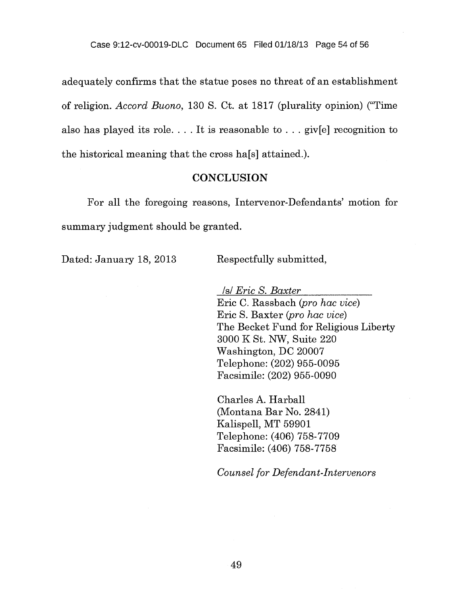adequately confirms that the statue poses no threat of an establishment of religion. *Accord Buono,* 130 S. Ct. at 1817 (plurality opinion) ("Time also has played its role.... It is reasonable to  $\ldots$  giv[e] recognition to the historical meaning that the cross ha[s] attained.).

### **CONCLUSION**

For all the foregoing reasons, Intervenor-Defendants' motion for summary judgment should be granted.

Dated: January 18, 2013 Respectfully submitted,

*Is! Eric S. Baxter*  Eric C. Rassbach *(pro hac vice)*  Eric S. Baxter *(pro hac vice)*  The Becket Fund for Religious Liberty 3000 K St. NW, Suite 220 Washington, DC 20007 Telephone: (202) 955-0095 Facsimile: (202) 955-0090

Charles A. Harball (Montana Bar No. 2841) Kalispell, MT 59901 Telephone: (406) 758-7709 Facsimile: (406) 758-7758

*Counsel for Defendant-Intervenors*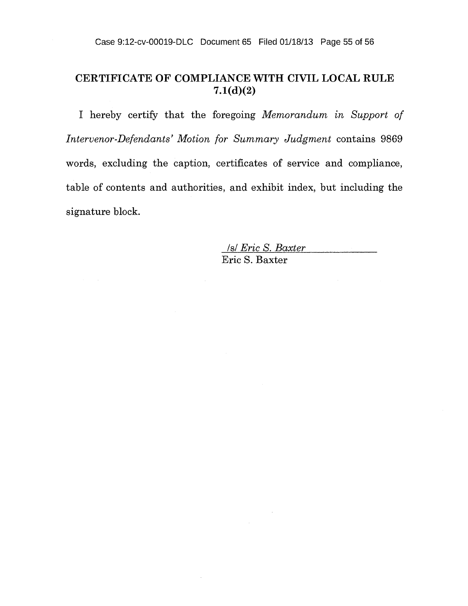# CERTIFICATE OF COMPLIANCE WITH CIVIL LOCAL RULE 7.1(d)(2)

I hereby certify that the foregoing *Memorandum in Support of Intervenor-Defendants' Motion for Summary Judgment* contains 9869 words, excluding the caption, certificates of service and compliance, table of contents and authorities, and exhibit index, but including the signature block.

> *Is! Eric S. Baxter*  Eric S. Baxter

> > $\sim 10$

 $\alpha$